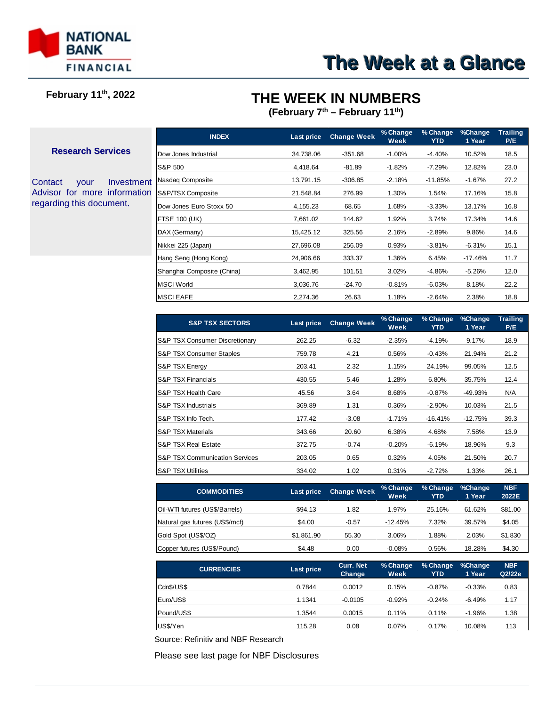

## **February 11th, 2022**

## **THE WEEK IN NUMBERS**

**(February 7th – February 11th)**

#### **Research Services**

Contact your Investment Advisor for more information regarding this document.

| Last price | <b>Change Week</b> | % Change<br>Week | % Change<br>YTD | %Change<br>1 Year | Trailing<br>P/E |
|------------|--------------------|------------------|-----------------|-------------------|-----------------|
| 34,738.06  | $-351.68$          | $-1.00\%$        | $-4.40%$        | 10.52%            | 18.5            |
| 4,418.64   | -81.89             | $-1.82%$         | $-7.29%$        | 12.82%            | 23.0            |
| 13,791.15  | $-306.85$          | $-2.18%$         | $-11.85%$       | $-1.67%$          | 27.2            |
| 21,548.84  | 276.99             | 1.30%            | 1.54%           | 17.16%            | 15.8            |
| 4,155.23   | 68.65              | 1.68%            | $-3.33%$        | 13.17%            | 16.8            |
| 7,661.02   | 144.62             | 1.92%            | 3.74%           | 17.34%            | 14.6            |
| 15,425.12  | 325.56             | 2.16%            | $-2.89%$        | 9.86%             | 14.6            |
| 27,696.08  | 256.09             | 0.93%            | $-3.81%$        | $-6.31%$          | 15.1            |
| 24,906.66  | 333.37             | 1.36%            | 6.45%           | $-17.46%$         | 11.7            |
| 3,462.95   | 101.51             | 3.02%            | -4.86%          | $-5.26%$          | 12.0            |
| 3,036.76   | $-24.70$           | $-0.81%$         | $-6.03%$        | 8.18%             | 22.2            |
| 2,274.36   | 26.63              | 1.18%            | $-2.64%$        | 2.38%             | 18.8            |
|            |                    |                  |                 |                   |                 |

| <b>S&amp;P TSX SECTORS</b>                 | Last price | <b>Change Week</b> | % Change<br>Week | % Change<br>YTD. | %Change<br>1 Year | <b>Trailing</b><br>P/E |
|--------------------------------------------|------------|--------------------|------------------|------------------|-------------------|------------------------|
| <b>IS&amp;P TSX Consumer Discretionary</b> | 262.25     | $-6.32$            | $-2.35%$         | $-4.19%$         | 9.17%             | 18.9                   |
| <b>IS&amp;P TSX Consumer Staples</b>       | 759.78     | 4.21               | 0.56%            | $-0.43%$         | 21.94%            | 21.2                   |
| <b>IS&amp;P TSX Energy</b>                 | 203.41     | 2.32               | 1.15%            | 24.19%           | 99.05%            | 12.5                   |
| <b>IS&amp;P TSX Financials</b>             | 430.55     | 5.46               | 1.28%            | 6.80%            | 35.75%            | 12.4                   |
| IS&P TSX Health Care                       | 45.56      | 3.64               | 8.68%            | $-0.87%$         | $-49.93%$         | N/A                    |
| <b>IS&amp;P TSX Industrials</b>            | 369.89     | 1.31               | 0.36%            | $-2.90%$         | 10.03%            | 21.5                   |
| IS&P TSX Info Tech.                        | 177.42     | $-3.08$            | $-1.71%$         | $-16.41%$        | $-12.75%$         | 39.3                   |
| <b>IS&amp;P TSX Materials</b>              | 343.66     | 20.60              | 6.38%            | 4.68%            | 7.58%             | 13.9                   |
| IS&P TSX Real Estate                       | 372.75     | $-0.74$            | $-0.20%$         | $-6.19%$         | 18.96%            | 9.3                    |
| <b>IS&amp;P TSX Communication Services</b> | 203.05     | 0.65               | 0.32%            | 4.05%            | 21.50%            | 20.7                   |
| <b>IS&amp;P TSX Utilities</b>              | 334.02     | 1.02               | 0.31%            | $-2.72%$         | 1.33%             | 26.1                   |

| <b>COMMODITIES</b>             | Last price | <b>Change Week</b> | % Change<br>Week | % Change<br>YTD | %Change<br>1 Year | <b>NBF</b><br>2022E |
|--------------------------------|------------|--------------------|------------------|-----------------|-------------------|---------------------|
| Oil-WTI futures (US\$/Barrels) | \$94.13    | 1.82               | 1.97%            | 25.16%          | 61.62%            | \$81.00             |
| Natural gas futures (US\$/mcf) | \$4.00     | $-0.57$            | $-12.45%$        | 7.32%           | 39.57%            | \$4.05              |
| Gold Spot (US\$/OZ)            | \$1,861.90 | 55.30              | 3.06%            | 1.88%           | 2.03%             | \$1,830             |
| Copper futures (US\$/Pound)    | \$4.48     | 0.00               | $-0.08%$         | 0.56%           | 18.28%            | \$4.30              |

| <b>CURRENCIES</b> | Last price | <b>Curr. Net</b><br>Change | % Change<br>Week | % Change<br><b>YTD</b> | %Change<br>1 Year | <b>NBF</b><br>Q2/22e |
|-------------------|------------|----------------------------|------------------|------------------------|-------------------|----------------------|
| Cdn\$/US\$        | 0.7844     | 0.0012                     | 0.15%            | $-0.87%$               | $-0.33%$          | 0.83                 |
| Euro/US\$         | 1.1341     | $-0.0105$                  | $-0.92%$         | $-0.24%$               | $-6.49%$          | 1.17                 |
| Pound/US\$        | 1.3544     | 0.0015                     | 0.11%            | 0.11%                  | $-1.96%$          | 1.38                 |
| US\$/Yen          | 115.28     | 0.08                       | 0.07%            | 0.17%                  | 10.08%            | 113                  |

Source: Refinitiv and NBF Research

Please see last page for NBF Disclosures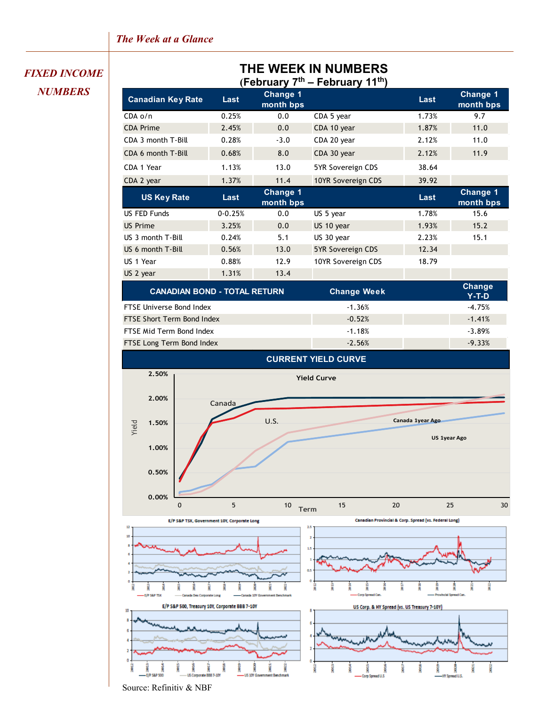## *FIXED INCOME NUMBERS*

# **THE WEEK IN NUMBERS**

**(February 7th – February 11th)**

| I GNIUDIY I<br>I GNIUDIY II |             |                       |                    |       |                       |  |  |
|-----------------------------|-------------|-----------------------|--------------------|-------|-----------------------|--|--|
| <b>Canadian Key Rate</b>    | Last        | Change 1<br>month bps |                    | Last  | Change 1<br>month bps |  |  |
| $CDA_0/n$                   | 0.25%       | 0.0                   | CDA 5 year         | 1.73% | 9.7                   |  |  |
| <b>CDA Prime</b>            | 2.45%       | 0.0                   | CDA 10 year        | 1.87% | 11.0                  |  |  |
| CDA 3 month T-Bill          | 0.28%       | $-3.0$                | CDA 20 year        | 2.12% | 11.0                  |  |  |
| CDA 6 month T-Bill          | 0.68%       | 8.0                   | CDA 30 year        | 2.12% | 11.9                  |  |  |
| CDA 1 Year                  | 1.13%       | 13.0                  | 5YR Sovereign CDS  | 38.64 |                       |  |  |
| CDA 2 year                  | 1.37%       | 11.4                  | 10YR Sovereign CDS | 39.92 |                       |  |  |
| <b>US Key Rate</b>          | Last        | Change 1<br>month bps |                    | Last  | Change 1<br>month bps |  |  |
| US FED Funds                | $0 - 0.25%$ | 0.0                   | US 5 year          | 1.78% | 15.6                  |  |  |
| <b>US Prime</b>             | 3.25%       | 0.0                   | US 10 year         | 1.93% | 15.2                  |  |  |
| US 3 month T-Bill           | 0.24%       | 5.1                   | US 30 year         | 2.23% | 15.1                  |  |  |
| US 6 month T-Bill           | 0.56%       | 13.0                  | 5YR Sovereign CDS  | 12.34 |                       |  |  |
| US 1 Year                   | 0.88%       | 12.9                  | 10YR Sovereign CDS | 18.79 |                       |  |  |
| US 2 year                   | 1.31%       | 13.4                  |                    |       |                       |  |  |
|                             |             |                       |                    |       |                       |  |  |

| <b>CANADIAN BOND - TOTAL RETURN</b> | <b>Change Week</b> | Change<br>$Y-T-D$ |
|-------------------------------------|--------------------|-------------------|
| <b>FTSE Universe Bond Index</b>     | $-1.36%$           | $-4.75%$          |
| <b>FTSE Short Term Bond Index</b>   | $-0.52%$           | $-1.41%$          |
| FTSE Mid Term Bond Index            | $-1.18%$           | $-3.89%$          |
| FTSE Long Term Bond Index           | $-2.56%$           | $-9.33%$          |



Source: Refinitiv & NBF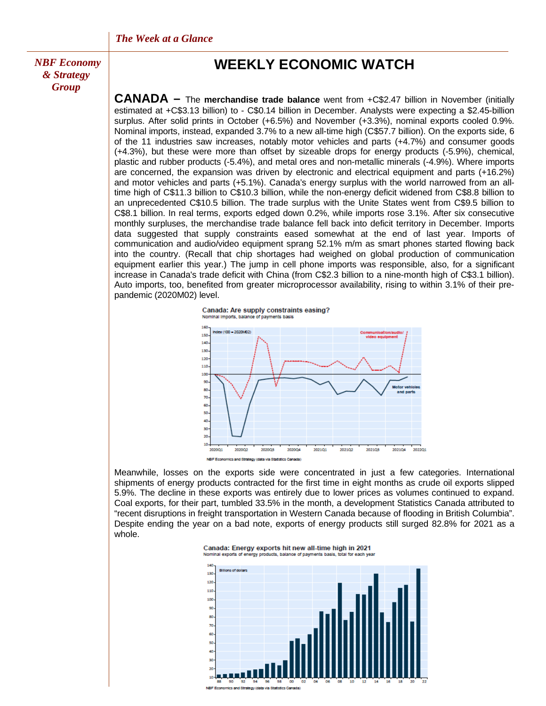**«** *NBF Economy & Strategy Group*

## **WEEKLY ECONOMIC WATCH**

**CANADA –** The **merchandise trade balance** went from +C\$2.47 billion in November (initially estimated at +C\$3.13 billion) to - C\$0.14 billion in December. Analysts were expecting a \$2.45-billion surplus. After solid prints in October (+6.5%) and November (+3.3%), nominal exports cooled 0.9%. Nominal imports, instead, expanded 3.7% to a new all-time high (C\$57.7 billion). On the exports side, 6 of the 11 industries saw increases, notably motor vehicles and parts (+4.7%) and consumer goods (+4.3%), but these were more than offset by sizeable drops for energy products (-5.9%), chemical, plastic and rubber products (-5.4%), and metal ores and non-metallic minerals (-4.9%). Where imports are concerned, the expansion was driven by electronic and electrical equipment and parts (+16.2%) and motor vehicles and parts (+5.1%). Canada's energy surplus with the world narrowed from an alltime high of C\$11.3 billion to C\$10.3 billion, while the non-energy deficit widened from C\$8.8 billion to an unprecedented C\$10.5 billion. The trade surplus with the Unite States went from C\$9.5 billion to C\$8.1 billion. In real terms, exports edged down 0.2%, while imports rose 3.1%. After six consecutive monthly surpluses, the merchandise trade balance fell back into deficit territory in December. Imports data suggested that supply constraints eased somewhat at the end of last year. Imports of communication and audio/video equipment sprang 52.1% m/m as smart phones started flowing back into the country. (Recall that chip shortages had weighed on global production of communication equipment earlier this year.) The jump in cell phone imports was responsible, also, for a significant increase in Canada's trade deficit with China (from C\$2.3 billion to a nine-month high of C\$3.1 billion). Auto imports, too, benefited from greater microprocessor availability, rising to within 3.1% of their prepandemic (2020M02) level.



NBF Economics and Strategy (data via Statistics Canada)

202003

202002

 $\overline{20}$  $10<sup>10</sup>$ 202001

Meanwhile, losses on the exports side were concentrated in just a few categories. International shipments of energy products contracted for the first time in eight months as crude oil exports slipped 5.9%. The decline in these exports was entirely due to lower prices as volumes continued to expand. Coal exports, for their part, tumbled 33.5% in the month, a development Statistics Canada attributed to "recent disruptions in freight transportation in Western Canada because of flooding in British Columbia". Despite ending the year on a bad note, exports of energy products still surged 82.8% for 2021 as a whole.

202101

202102

202103

202104

202201



202004



nics and Strategy (data via Statistics Cana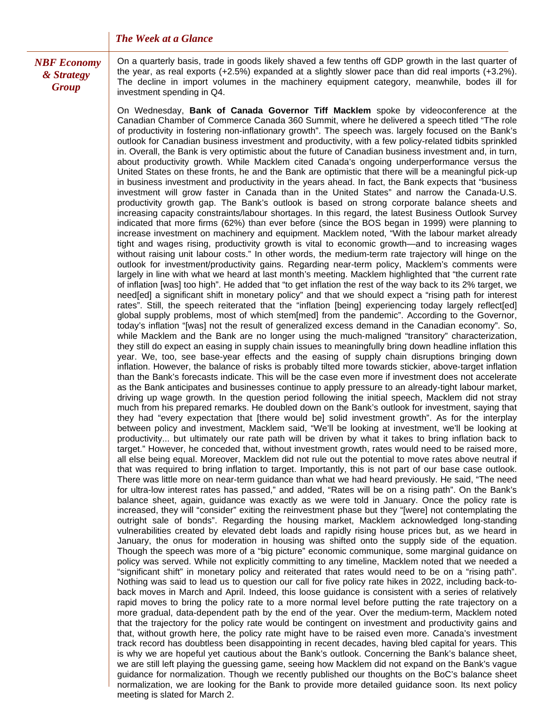*NBF Economy & Strategy Group*

On a quarterly basis, trade in goods likely shaved a few tenths off GDP growth in the last quarter of the year, as real exports (+2.5%) expanded at a slightly slower pace than did real imports (+3.2%). The decline in import volumes in the machinery equipment category, meanwhile, bodes ill for investment spending in Q4.

On Wednesday, **Bank of Canada Governor Tiff Macklem** spoke by videoconference at the Canadian Chamber of Commerce Canada 360 Summit, where he delivered a speech titled "The role of productivity in fostering non-inflationary growth". The speech was. largely focused on the Bank's outlook for Canadian business investment and productivity, with a few policy-related tidbits sprinkled in. Overall, the Bank is very optimistic about the future of Canadian business investment and, in turn, about productivity growth. While Macklem cited Canada's ongoing underperformance versus the United States on these fronts, he and the Bank are optimistic that there will be a meaningful pick-up in business investment and productivity in the years ahead. In fact, the Bank expects that "business investment will grow faster in Canada than in the United States" and narrow the Canada-U.S. productivity growth gap. The Bank's outlook is based on strong corporate balance sheets and increasing capacity constraints/labour shortages. In this regard, the latest Business Outlook Survey indicated that more firms (62%) than ever before (since the BOS began in 1999) were planning to increase investment on machinery and equipment. Macklem noted, "With the labour market already tight and wages rising, productivity growth is vital to economic growth—and to increasing wages without raising unit labour costs." In other words, the medium-term rate trajectory will hinge on the outlook for investment/productivity gains. Regarding near-term policy, Macklem's comments were largely in line with what we heard at last month's meeting. Macklem highlighted that "the current rate of inflation [was] too high". He added that "to get inflation the rest of the way back to its 2% target, we need[ed] a significant shift in monetary policy" and that we should expect a "rising path for interest rates". Still, the speech reiterated that the "inflation [being] experiencing today largely reflect[ed] global supply problems, most of which stem[med] from the pandemic". According to the Governor, today's inflation "[was] not the result of generalized excess demand in the Canadian economy". So, while Macklem and the Bank are no longer using the much-maligned "transitory" characterization, they still do expect an easing in supply chain issues to meaningfully bring down headline inflation this year. We, too, see base-year effects and the easing of supply chain disruptions bringing down inflation. However, the balance of risks is probably tilted more towards stickier, above-target inflation than the Bank's forecasts indicate. This will be the case even more if investment does not accelerate as the Bank anticipates and businesses continue to apply pressure to an already-tight labour market, driving up wage growth. In the question period following the initial speech, Macklem did not stray much from his prepared remarks. He doubled down on the Bank's outlook for investment, saying that they had "every expectation that [there would be] solid investment growth". As for the interplay between policy and investment, Macklem said, "We'll be looking at investment, we'll be looking at productivity... but ultimately our rate path will be driven by what it takes to bring inflation back to target." However, he conceded that, without investment growth, rates would need to be raised more, all else being equal. Moreover, Macklem did not rule out the potential to move rates above neutral if that was required to bring inflation to target. Importantly, this is not part of our base case outlook. There was little more on near-term guidance than what we had heard previously. He said, "The need for ultra-low interest rates has passed," and added, "Rates will be on a rising path". On the Bank's balance sheet, again, guidance was exactly as we were told in January. Once the policy rate is increased, they will "consider" exiting the reinvestment phase but they "[were] not contemplating the outright sale of bonds". Regarding the housing market, Macklem acknowledged long-standing vulnerabilities created by elevated debt loads and rapidly rising house prices but, as we heard in January, the onus for moderation in housing was shifted onto the supply side of the equation. Though the speech was more of a "big picture" economic communique, some marginal guidance on policy was served. While not explicitly committing to any timeline, Macklem noted that we needed a "significant shift" in monetary policy and reiterated that rates would need to be on a "rising path". Nothing was said to lead us to question our call for five policy rate hikes in 2022, including back-toback moves in March and April. Indeed, this loose guidance is consistent with a series of relatively rapid moves to bring the policy rate to a more normal level before putting the rate trajectory on a more gradual, data-dependent path by the end of the year. Over the medium-term, Macklem noted that the trajectory for the policy rate would be contingent on investment and productivity gains and that, without growth here, the policy rate might have to be raised even more. Canada's investment track record has doubtless been disappointing in recent decades, having bled capital for years. This is why we are hopeful yet cautious about the Bank's outlook. Concerning the Bank's balance sheet, we are still left playing the guessing game, seeing how Macklem did not expand on the Bank's vague guidance for normalization. Though we recently published our thoughts on the BoC's balance sheet normalization, we are looking for the Bank to provide more detailed guidance soon. Its next policy meeting is slated for March 2.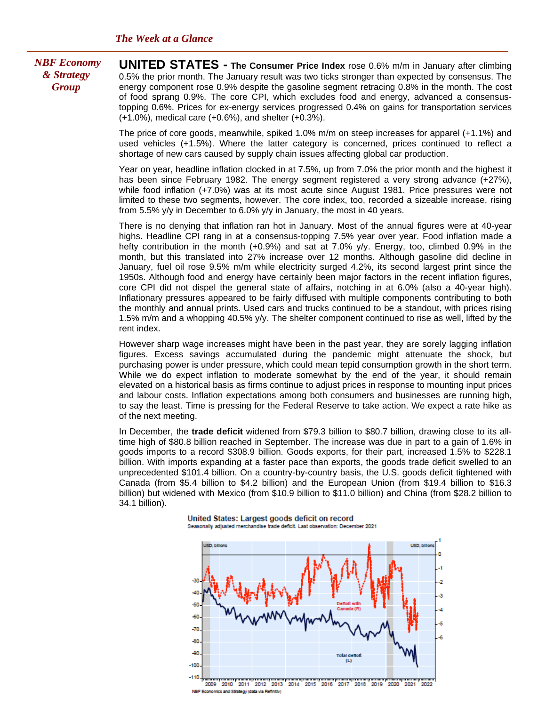### *NBF Economy & Strategy Group*

**UNITED STATES - The Consumer Price Index** rose 0.6% m/m in January after climbing 0.5% the prior month. The January result was two ticks stronger than expected by consensus. The energy component rose 0.9% despite the gasoline segment retracing 0.8% in the month. The cost of food sprang 0.9%. The core CPI, which excludes food and energy, advanced a consensustopping 0.6%. Prices for ex-energy services progressed 0.4% on gains for transportation services (+1.0%), medical care (+0.6%), and shelter (+0.3%).

The price of core goods, meanwhile, spiked 1.0% m/m on steep increases for apparel (+1.1%) and used vehicles (+1.5%). Where the latter category is concerned, prices continued to reflect a shortage of new cars caused by supply chain issues affecting global car production.

Year on year, headline inflation clocked in at 7.5%, up from 7.0% the prior month and the highest it has been since February 1982. The energy segment registered a very strong advance (+27%), while food inflation (+7.0%) was at its most acute since August 1981. Price pressures were not limited to these two segments, however. The core index, too, recorded a sizeable increase, rising from 5.5% y/y in December to 6.0% y/y in January, the most in 40 years.

There is no denying that inflation ran hot in January. Most of the annual figures were at 40-year highs. Headline CPI rang in at a consensus-topping 7.5% year over year. Food inflation made a hefty contribution in the month (+0.9%) and sat at 7.0% y/y. Energy, too, climbed 0.9% in the month, but this translated into 27% increase over 12 months. Although gasoline did decline in January, fuel oil rose 9.5% m/m while electricity surged 4.2%, its second largest print since the 1950s. Although food and energy have certainly been major factors in the recent inflation figures, core CPI did not dispel the general state of affairs, notching in at 6.0% (also a 40-year high). Inflationary pressures appeared to be fairly diffused with multiple components contributing to both the monthly and annual prints. Used cars and trucks continued to be a standout, with prices rising 1.5% m/m and a whopping 40.5% y/y. The shelter component continued to rise as well, lifted by the rent index.

However sharp wage increases might have been in the past year, they are sorely lagging inflation figures. Excess savings accumulated during the pandemic might attenuate the shock, but purchasing power is under pressure, which could mean tepid consumption growth in the short term. While we do expect inflation to moderate somewhat by the end of the year, it should remain elevated on a historical basis as firms continue to adjust prices in response to mounting input prices and labour costs. Inflation expectations among both consumers and businesses are running high, to say the least. Time is pressing for the Federal Reserve to take action. We expect a rate hike as of the next meeting.

In December, the **trade deficit** widened from \$79.3 billion to \$80.7 billion, drawing close to its alltime high of \$80.8 billion reached in September. The increase was due in part to a gain of 1.6% in goods imports to a record \$308.9 billion. Goods exports, for their part, increased 1.5% to \$228.1 billion. With imports expanding at a faster pace than exports, the goods trade deficit swelled to an unprecedented \$101.4 billion. On a country-by-country basis, the U.S. goods deficit tightened with Canada (from \$5.4 billion to \$4.2 billion) and the European Union (from \$19.4 billion to \$16.3 billion) but widened with Mexico (from \$10.9 billion to \$11.0 billion) and China (from \$28.2 billion to 34.1 billion).



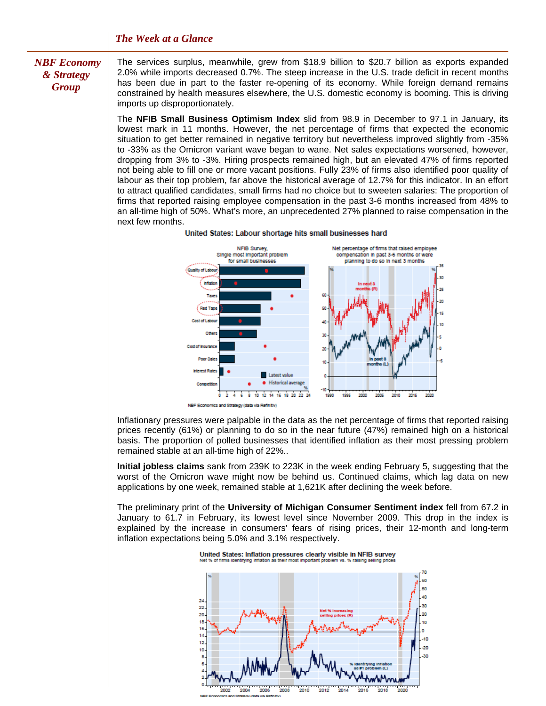### *NBF Economy & Strategy Group*

The services surplus, meanwhile, grew from \$18.9 billion to \$20.7 billion as exports expanded 2.0% while imports decreased 0.7%. The steep increase in the U.S. trade deficit in recent months has been due in part to the faster re-opening of its economy. While foreign demand remains constrained by health measures elsewhere, the U.S. domestic economy is booming. This is driving imports up disproportionately.

The **NFIB Small Business Optimism Index** slid from 98.9 in December to 97.1 in January, its lowest mark in 11 months. However, the net percentage of firms that expected the economic situation to get better remained in negative territory but nevertheless improved slightly from -35% to -33% as the Omicron variant wave began to wane. Net sales expectations worsened, however, dropping from 3% to -3%. Hiring prospects remained high, but an elevated 47% of firms reported not being able to fill one or more vacant positions. Fully 23% of firms also identified poor quality of labour as their top problem, far above the historical average of 12.7% for this indicator. In an effort to attract qualified candidates, small firms had no choice but to sweeten salaries: The proportion of firms that reported raising employee compensation in the past 3-6 months increased from 48% to an all-time high of 50%. What's more, an unprecedented 27% planned to raise compensation in the next few months.



United States: Labour shortage hits small businesses hard

Inflationary pressures were palpable in the data as the net percentage of firms that reported raising prices recently (61%) or planning to do so in the near future (47%) remained high on a historical basis. The proportion of polled businesses that identified inflation as their most pressing problem remained stable at an all-time high of 22%..

**Initial jobless claims** sank from 239K to 223K in the week ending February 5, suggesting that the worst of the Omicron wave might now be behind us. Continued claims, which lag data on new applications by one week, remained stable at 1,621K after declining the week before.

The preliminary print of the **University of Michigan Consumer Sentiment index** fell from 67.2 in January to 61.7 in February, its lowest level since November 2009. This drop in the index is explained by the increase in consumers' fears of rising prices, their 12-month and long-term inflation expectations being 5.0% and 3.1% respectively.

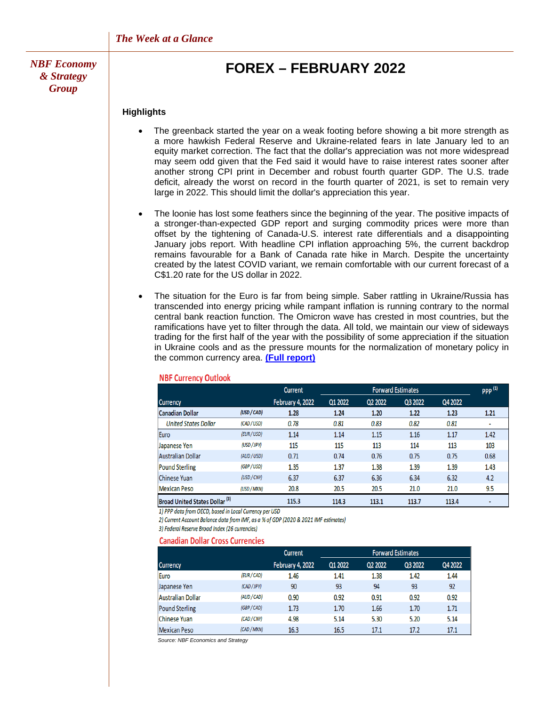*NBF Economy & Strategy Group*

## **FOREX – FEBRUARY 2022**

#### **Highlights**

- The greenback started the year on a weak footing before showing a bit more strength as a more hawkish Federal Reserve and Ukraine-related fears in late January led to an equity market correction. The fact that the dollar's appreciation was not more widespread may seem odd given that the Fed said it would have to raise interest rates sooner after another strong CPI print in December and robust fourth quarter GDP. The U.S. trade deficit, already the worst on record in the fourth quarter of 2021, is set to remain very large in 2022. This should limit the dollar's appreciation this year.
- The loonie has lost some feathers since the beginning of the year. The positive impacts of a stronger-than-expected GDP report and surging commodity prices were more than offset by the tightening of Canada-U.S. interest rate differentials and a disappointing January jobs report. With headline CPI inflation approaching 5%, the current backdrop remains favourable for a Bank of Canada rate hike in March. Despite the uncertainty created by the latest COVID variant, we remain comfortable with our current forecast of a C\$1.20 rate for the US dollar in 2022.
- The situation for the Euro is far from being simple. Saber rattling in Ukraine/Russia has transcended into energy pricing while rampant inflation is running contrary to the normal central bank reaction function. The Omicron wave has crested in most countries, but the ramifications have yet to filter through the data. All told, we maintain our view of sideways trading for the first half of the year with the possibility of some appreciation if the situation in Ukraine cools and as the pressure mounts for the normalization of monetary policy in the common currency area. **[\(Full report\)](https://www.nbc.ca/content/dam/bnc/en/rates-and-analysis/economic-analysis/forex.pdf)**

|                                       |             | Current                 | <b>Forward Estimates</b> |         |         |         | <b>PPP</b> <sup>(1)</sup> |
|---------------------------------------|-------------|-------------------------|--------------------------|---------|---------|---------|---------------------------|
| <b>Currency</b>                       |             | <b>February 4, 2022</b> | Q1 2022                  | Q2 2022 | Q3 2022 | Q4 2022 |                           |
| Canadian Dollar                       | (USD / CAD) | 1.28                    | 1.24                     | 1.20    | 1.22    | 1.23    | 1.21                      |
| <b>United States Dollar</b>           | (CAD / USD) | 0.78                    | 0.81                     | 0.83    | 0.82    | 0.81    |                           |
| Euro                                  | (EUR / USD) | 1.14                    | 1.14                     | 1.15    | 1.16    | 1.17    | 1.42                      |
| Japanese Yen                          | (USD / JPY) | 115                     | 115                      | 113     | 114     | 113     | 103                       |
| Australian Dollar                     | (AUD / USD) | 0.71                    | 0.74                     | 0.76    | 0.75    | 0.75    | 0.68                      |
| <b>Pound Sterling</b>                 | (GBP / USD) | 1.35                    | 1.37                     | 1.38    | 1.39    | 1.39    | 1.43                      |
| Chinese Yuan                          | (USD / CNY) | 6.37                    | 6.37                     | 6.36    | 6.34    | 6.32    | 4.2                       |
| Mexican Peso                          | (USD / MXN) | 20.8                    | 20.5                     | 20.5    | 21.0    | 21.0    | 9.5                       |
| <b>Broad United States Dollar (3)</b> |             | 115.3                   | 114.3                    | 113.1   | 113.7   | 113.4   |                           |

#### **NBF Currency Outlook**

1) PPP data from OECD, based in Local Currency per USD

2) Current Account Balance data from IMF, as a % of GDP (2020 & 2021 IMF estimates)

3) Federal Reserve Broad Index (26 currencies)

#### **Canadian Dollar Cross Currencies**

|                       |             | <b>Forward Estimates</b><br>Current |         |         |         |         |
|-----------------------|-------------|-------------------------------------|---------|---------|---------|---------|
| <b>Currency</b>       |             | <b>February 4, 2022</b>             | Q1 2022 | Q2 2022 | Q3 2022 | Q4 2022 |
| Euro                  | (EUR / CAD) | 1.46                                | 1.41    | 1.38    | 1.42    | 1.44    |
| Japanese Yen          | (CAD / JPY) | 90                                  | 93      | 94      | 93      | 92      |
| Australian Dollar     | (AUD / CAD) | 0.90                                | 0.92    | 0.91    | 0.92    | 0.92    |
| <b>Pound Sterling</b> | (GBP / CAD) | 1.73                                | 1.70    | 1.66    | 1.70    | 1.71    |
| Chinese Yuan          | (CAD / CNY) | 4.98                                | 5.14    | 5.30    | 5.20    | 5.14    |
| Mexican Peso          | (CAD / MXN) | 16.3                                | 16.5    | 17.1    | 17.2    | 17.1    |

 *Source: NBF Economics and Strategy*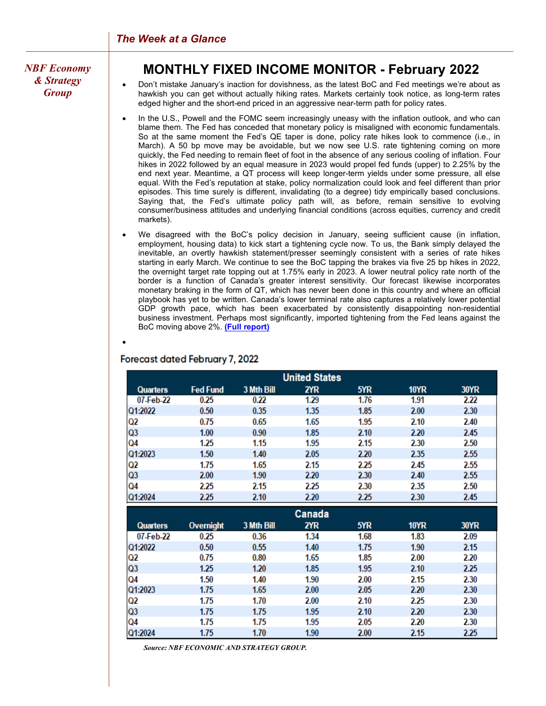*NBF Economy & Strategy Group*

## **MONTHLY FIXED INCOME MONITOR - February 2022**

• Don't mistake January's inaction for dovishness, as the latest BoC and Fed meetings we're about as hawkish you can get without actually hiking rates. Markets certainly took notice, as long-term rates edged higher and the short-end priced in an aggressive near-term path for policy rates.

- In the U.S., Powell and the FOMC seem increasingly uneasy with the inflation outlook, and who can blame them. The Fed has conceded that monetary policy is misaligned with economic fundamentals. So at the same moment the Fed's QE taper is done, policy rate hikes look to commence (i.e., in March). A 50 bp move may be avoidable, but we now see U.S. rate tightening coming on more quickly, the Fed needing to remain fleet of foot in the absence of any serious cooling of inflation. Four hikes in 2022 followed by an equal measure in 2023 would propel fed funds (upper) to 2.25% by the end next year. Meantime, a QT process will keep longer-term yields under some pressure, all else equal. With the Fed's reputation at stake, policy normalization could look and feel different than prior episodes. This time surely is different, invalidating (to a degree) tidy empirically based conclusions. Saying that, the Fed's ultimate policy path will, as before, remain sensitive to evolving consumer/business attitudes and underlying financial conditions (across equities, currency and credit markets).
- We disagreed with the BoC's policy decision in January, seeing sufficient cause (in inflation, employment, housing data) to kick start a tightening cycle now. To us, the Bank simply delayed the inevitable, an overtly hawkish statement/presser seemingly consistent with a series of rate hikes starting in early March. We continue to see the BoC tapping the brakes via five 25 bp hikes in 2022, the overnight target rate topping out at 1.75% early in 2023. A lower neutral policy rate north of the border is a function of Canada's greater interest sensitivity. Our forecast likewise incorporates monetary braking in the form of QT, which has never been done in this country and where an official playbook has yet to be written. Canada's lower terminal rate also captures a relatively lower potential GDP growth pace, which has been exacerbated by consistently disappointing non-residential business investment. Perhaps most significantly, imported tightening from the Fed leans against the BoC moving above 2%. **[\(Full report\)](https://www.nbc.ca/content/dam/bnc/en/rates-and-analysis/economic-analysis/monthly-fixed-income-monitor.pdf)**

## **Forecast dated February 7, 2022**

•

| <b>United States</b> |                 |            |      |      |             |             |  |  |  |
|----------------------|-----------------|------------|------|------|-------------|-------------|--|--|--|
| <b>Quarters</b>      | <b>Fed Fund</b> | 3 Mth Bill | 2YR  | 5YR  | <b>10YR</b> | <b>30YR</b> |  |  |  |
| 07-Feb-22            | 0.25            | 0.22       | 1.29 | 1.76 | 1.91        | 2.22        |  |  |  |
| Q1:2022              | 0.50            | 0.35       | 1.35 | 1.85 | 2.00        | 2.30        |  |  |  |
| Q2                   | 0.75            | 0.65       | 1.65 | 1.95 | 2.10        | 2.40        |  |  |  |
| Q3                   | 1.00            | 0.90       | 1.85 | 2.10 | 2.20        | 2.45        |  |  |  |
| Q4                   | 1.25            | 1.15       | 1.95 | 2.15 | 2.30        | 2.50        |  |  |  |
| Q1:2023              | 1.50            | 1.40       | 2.05 | 2.20 | 2.35        | 2.55        |  |  |  |
| Q2                   | 1.75            | 1.65       | 2.15 | 2.25 | 2.45        | 2.55        |  |  |  |
| Q3                   | 2.00            | 1.90       | 2.20 | 2.30 | 2.40        | 2.55        |  |  |  |
| Q4                   | 2.25            | 2.15       | 2.25 | 2.30 | 2.35        | 2.50        |  |  |  |
| Q1:2024              | 2.25            | 2.10       | 2.20 | 2.25 | 2.30        | 2.45        |  |  |  |

| Canada          |                  |            |      |      |      |             |  |  |
|-----------------|------------------|------------|------|------|------|-------------|--|--|
| <b>Quarters</b> | <b>Overnight</b> | 3 Mth Bill | 2YR  | 5YR  | 10YR | <b>30YR</b> |  |  |
| 07-Feb-22       | 0.25             | 0.36       | 1.34 | 1.68 | 1.83 | 2.09        |  |  |
| Q1:2022         | 0.50             | 0.55       | 1.40 | 1.75 | 1.90 | 2.15        |  |  |
| Q2              | 0.75             | 0.80       | 1.65 | 1.85 | 2.00 | 2.20        |  |  |
| Q3              | 1.25             | 1.20       | 1.85 | 1.95 | 2.10 | 2.25        |  |  |
| Q4              | 1.50             | 1.40       | 1.90 | 2.00 | 2.15 | 2.30        |  |  |
| Q1:2023         | 1.75             | 1.65       | 2.00 | 2.05 | 2.20 | 2.30        |  |  |
| Q2              | 1.75             | 1.70       | 2.00 | 2.10 | 2.25 | 2.30        |  |  |
| Q3              | 1.75             | 1.75       | 1.95 | 2.10 | 2.20 | 2.30        |  |  |
| Q4              | 1.75             | 1.75       | 1.95 | 2.05 | 2.20 | 2.30        |  |  |
| Q1:2024         | 1.75             | 1.70       | 1.90 | 2.00 | 2.15 | 2.25        |  |  |

 *Source: NBF ECONOMIC AND STRATEGY GROUP.*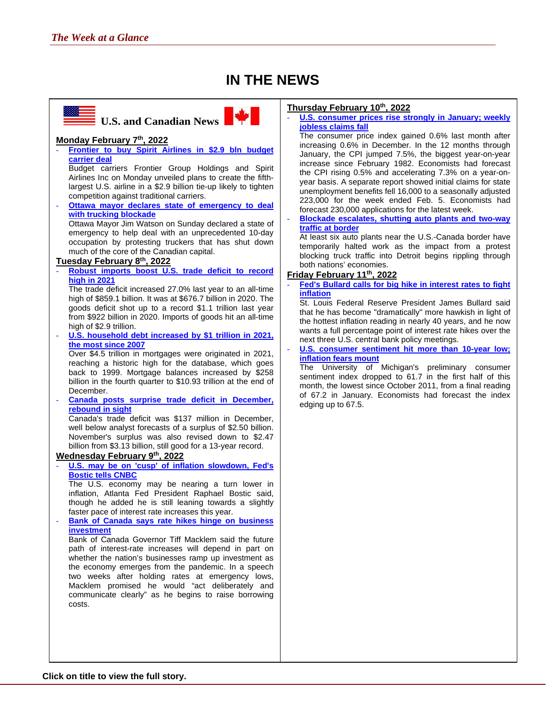## **IN THE NEWS**



#### **Thursday February 10th, 2022**

[U.S. consumer prices rise strongly in January; weekly](https://www.reuters.com/business/us-consumer-prices-rise-strongly-january-weekly-jobless-claims-fall-2022-02-10/) **[jobless claims fall](https://www.reuters.com/business/us-consumer-prices-rise-strongly-january-weekly-jobless-claims-fall-2022-02-10/)**

The consumer price index gained 0.6% last month after increasing 0.6% in December. In the 12 months through January, the CPI jumped 7.5%, the biggest year-on-year increase since February 1982. Economists had forecast the CPI rising 0.5% and accelerating 7.3% on a year-onyear basis. A separate report showed initial claims for state unemployment benefits fell 16,000 to a seasonally adjusted 223,000 for the week ended Feb. 5. Economists had forecast 230,000 applications for the latest week.

- **[Blockade escalates, shutting auto plants and two-way](https://www.bnnbloomberg.ca/blockade-escalates-shutting-auto-plants-and-two-way-traffic-at-border-1.1721514)  [traffic at border](https://www.bnnbloomberg.ca/blockade-escalates-shutting-auto-plants-and-two-way-traffic-at-border-1.1721514)**

At least six auto plants near the U.S.-Canada border have temporarily halted work as the impact from a protest blocking truck traffic into Detroit begins rippling through both nations' economies.

#### **Friday February 11th, 2022**

**Fed's Bullard calls for big hike in interest rates to fight [inflation](https://www.reuters.com/world/us/feds-bullard-wants-us-rates-full-percentage-point-higher-by-july-2022-02-10/)**

St. Louis Federal Reserve President James Bullard said that he has become "dramatically" more hawkish in light of the hottest inflation reading in nearly 40 years, and he now wants a full percentage point of interest rate hikes over the next three U.S. central bank policy meetings.

U.S. consumer sentiment hit more than 10-year low; **[inflation fears mount](https://www.reuters.com/world/us/us-consumer-sentiment-drops-more-than-10-year-low-february-survey-2022-02-11/)**

The University of Michigan's preliminary consumer sentiment index dropped to 61.7 in the first half of this month, the lowest since October 2011, from a final reading of 67.2 in January. Economists had forecast the index edging up to 67.5.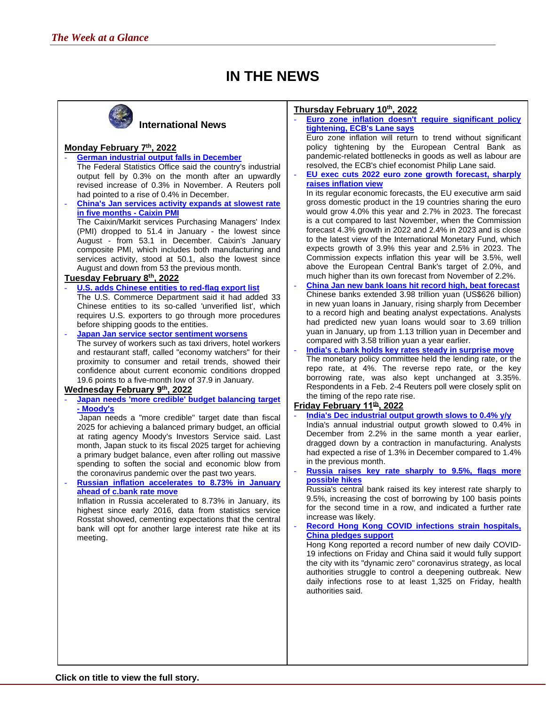## **IN THE NEWS**



### **International News**

### **Monday February 7th, 2022**

- **[German industrial output falls in December](https://www.reuters.com/world/europe/german-industrial-output-falls-december-2022-02-07/)** The Federal Statistics Office said the country's industrial output fell by 0.3% on the month after an upwardly revised increase of 0.3% in November. A Reuters poll had pointed to a rise of 0.4% in December.
- **[China's Jan services activity expands at slowest rate](https://www.reuters.com/markets/europe/chinas-jan-services-activity-expands-slowest-rate-five-months-caixin-pmi-2022-02-07/)  [in five months - Caixin PMI](https://www.reuters.com/markets/europe/chinas-jan-services-activity-expands-slowest-rate-five-months-caixin-pmi-2022-02-07/)** The Caixin/Markit services Purchasing Managers' Index (PMI) dropped to 51.4 in January - the lowest since August - from 53.1 in December. Caixin's January composite PMI, which includes both manufacturing and services activity, stood at 50.1, also the lowest since August and down from 53 the previous month.

#### **Tuesday February 8th, 2022**

- **[U.S. adds Chinese entities to red-flag export list](https://www.reuters.com/markets/europe/us-adds-chinese-entities-red-flag-export-list-wuxi-bio-shares-plunge-2022-02-08/)** The U.S. Commerce Department said it had added 33 Chinese entities to its so-called 'unverified list', which requires U.S. exporters to go through more procedures before shipping goods to the entities.
- **[Japan Jan service sector sentiment worsens](https://www.reuters.com/markets/europe/japan-jan-service-sector-sentiment-worsens-govt-2022-02-08/)** The survey of workers such as taxi drivers, hotel workers and restaurant staff, called "economy watchers" for their proximity to consumer and retail trends, showed their confidence about current economic conditions dropped 19.6 points to a five-month low of 37.9 in January.

#### **Wednesday February 9th, 2022**

- **[Japan needs 'more credible' budget balancing target](https://www.reuters.com/markets/rates-bonds/japan-needs-more-credible-budget-balancing-target-moodys-2022-02-09/) [- Moody's](https://www.reuters.com/markets/rates-bonds/japan-needs-more-credible-budget-balancing-target-moodys-2022-02-09/)**

Japan needs a "more credible" target date than fiscal 2025 for achieving a balanced primary budget, an official at rating agency Moody's Investors Service said. Last month, Japan stuck to its fiscal 2025 target for achieving a primary budget balance, even after rolling out massive spending to soften the social and economic blow from the coronavirus pandemic over the past two years.

- **[Russian inflation accelerates to 8.73% in January](https://www.reuters.com/markets/stocks/russian-inflation-accelerates-873-january-ahead-cbank-rate-move-2022-02-09/)  [ahead of c.bank rate move](https://www.reuters.com/markets/stocks/russian-inflation-accelerates-873-january-ahead-cbank-rate-move-2022-02-09/)**

Inflation in Russia accelerated to 8.73% in January, its highest since early 2016, data from statistics service Rosstat showed, cementing expectations that the central bank will opt for another large interest rate hike at its meeting.

#### **Thursday February 10th, 2022**

- **[Euro zone inflation doesn't require significant policy](https://www.reuters.com/business/euro-zone-inflation-doesnt-require-significant-policy-tightening-ecbs-lane-says-2022-02-10/)  [tightening, ECB's Lane says](https://www.reuters.com/business/euro-zone-inflation-doesnt-require-significant-policy-tightening-ecbs-lane-says-2022-02-10/)**

Euro zone inflation will return to trend without significant policy tightening by the European Central Bank as pandemic-related bottlenecks in goods as well as labour are resolved, the ECB's chief economist Philip Lane said.

- **[EU exec cuts 2022 euro zone growth forecast, sharply](https://www.reuters.com/world/europe/eu-exec-cuts-2022-euro-zone-growth-forecast-sharply-raises-inflation-view-2022-02-10/)  [raises inflation view](https://www.reuters.com/world/europe/eu-exec-cuts-2022-euro-zone-growth-forecast-sharply-raises-inflation-view-2022-02-10/)**

In its regular economic forecasts, the EU executive arm said gross domestic product in the 19 countries sharing the euro would grow 4.0% this year and 2.7% in 2023. The forecast is a cut compared to last November, when the Commission forecast 4.3% growth in 2022 and 2.4% in 2023 and is close to the latest view of the International Monetary Fund, which expects growth of 3.9% this year and 2.5% in 2023. The Commission expects inflation this year will be 3.5%, well above the European Central Bank's target of 2.0%, and much higher than its own forecast from November of 2.2%.

- **China [Jan new bank loans hit record high, beat forecast](https://www.reuters.com/markets/rates-bonds/china-jan-new-bank-loans-hit-record-high-beat-forecast-2022-02-10/)** Chinese banks extended 3.98 trillion yuan (US\$626 billion) in new yuan loans in January, rising sharply from December to a record high and beating analyst expectations. Analysts had predicted new yuan loans would soar to 3.69 trillion yuan in January, up from 1.13 trillion yuan in December and compared with 3.58 trillion yuan a year earlier.
- **[India's c.bank holds key rates steady in surprise move](https://www.reuters.com/markets/rates-bonds/view-indias-cbank-holds-key-rates-steady-surprise-move-2022-02-10/)** The monetary policy committee held the lending rate, or the repo rate, at 4%. The reverse repo rate, or the key borrowing rate, was also kept unchanged at 3.35%. Respondents in a Feb. 2-4 Reuters poll were closely split on the timing of the repo rate rise.

#### **Friday February 11th , 2022**

- **[India's Dec industrial output growth](https://www.reuters.com/world/india/indias-dec-industrial-output-growth-slows-04-yy-2022-02-11/) slows to 0.4% y/y** India's annual industrial output growth slowed to 0.4% in December from 2.2% in the same month a year earlier, dragged down by a contraction in manufacturing. Analysts had expected a rise of 1.3% in December compared to 1.4% in the previous month.
- **[Russia raises key rate sharply to 9.5%, flags more](https://www.reuters.com/markets/europe/russia-raises-key-rate-sharply-95-does-not-rule-out-more-hikes-2022-02-11/)  [possible hikes](https://www.reuters.com/markets/europe/russia-raises-key-rate-sharply-95-does-not-rule-out-more-hikes-2022-02-11/)**

Russia's central bank raised its key interest rate sharply to 9.5%, increasing the cost of borrowing by 100 basis points for the second time in a row, and indicated a further rate increase was likely.

Record Hong Kong COVID infections strain hospitals, **[China pledges support](https://www.reuters.com/world/china/china-pledges-support-hong-kong-amid-covid-surge-2022-02-11/)**

Hong Kong reported a record number of new daily COVID-19 infections on Friday and China said it would fully support the city with its "dynamic zero" coronavirus strategy, as local authorities struggle to control a deepening outbreak. New daily infections rose to at least 1,325 on Friday, health authorities said.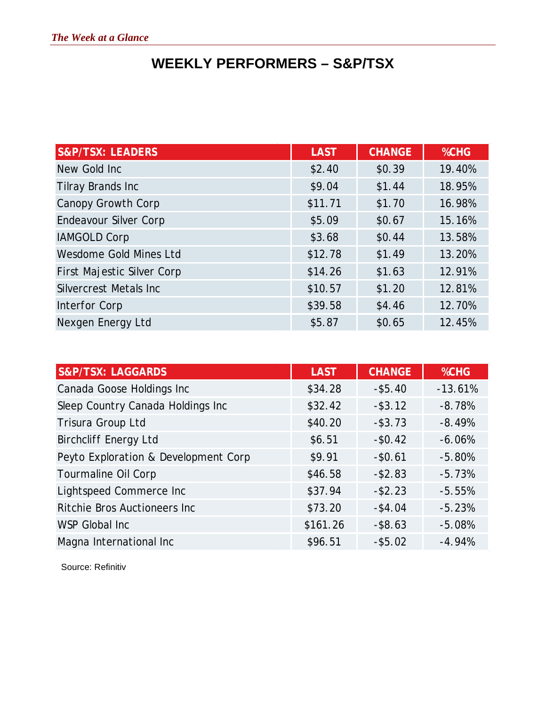# **WEEKLY PERFORMERS – S&P/TSX**

| <b>S&amp;P/TSX: LEADERS</b>    | <b>LAST</b> | <b>CHANGE</b> | %CHG   |
|--------------------------------|-------------|---------------|--------|
| New Gold Inc                   | \$2.40      | \$0.39        | 19.40% |
| Tilray Brands Inc              | \$9.04      | \$1.44        | 18.95% |
| Canopy Growth Corp             | \$11.71     | \$1.70        | 16.98% |
| Endeavour Silver Corp          | \$5.09      | \$0.67        | 15.16% |
| <b>IAMGOLD Corp</b>            | \$3.68      | \$0.44        | 13.58% |
| Wesdome Gold Mines Ltd         | \$12.78     | \$1.49        | 13.20% |
| First Majestic Silver Corp     | \$14.26     | \$1.63        | 12.91% |
| <b>Silvercrest Metals Inc.</b> | \$10.57     | \$1.20        | 12.81% |
| Interfor Corp                  | \$39.58     | \$4.46        | 12.70% |
| Nexgen Energy Ltd              | \$5.87      | \$0.65        | 12.45% |

| <b>S&amp;P/TSX: LAGGARDS</b>         | <b>LAST</b> | <b>CHANGE</b> | %CHG      |
|--------------------------------------|-------------|---------------|-----------|
| Canada Goose Holdings Inc            | \$34.28     | $-$ \$5.40    | $-13.61%$ |
| Sleep Country Canada Holdings Inc    | \$32.42     | $-$ \$3.12    | $-8.78%$  |
| Trisura Group Ltd                    | \$40.20     | $-$ \$3.73    | $-8.49%$  |
| <b>Birchcliff Energy Ltd</b>         | \$6.51      | $-$0.42$      | $-6.06%$  |
| Peyto Exploration & Development Corp | \$9.91      | $-$0.61$      | $-5.80%$  |
| Tourmaline Oil Corp                  | \$46.58     | $- $2.83$     | $-5.73%$  |
| Lightspeed Commerce Inc              | \$37.94     | $- $2.23$     | $-5.55%$  |
| Ritchie Bros Auctioneers Inc         | \$73.20     | $-$ \$4.04    | $-5.23%$  |
| WSP Global Inc                       | \$161.26    | $-$ \$8.63    | $-5.08%$  |
| Magna International Inc              | \$96.51     | $-$ \$5.02    | $-4.94%$  |

Source: Refinitiv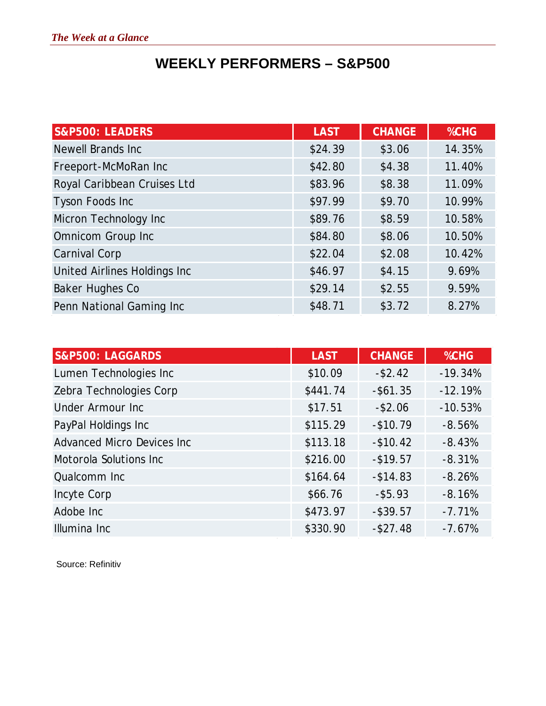# **WEEKLY PERFORMERS – S&P500**

| <b>S&amp;P500: LEADERS</b>   | <b>LAST</b> | <b>CHANGE</b> | %CHG   |
|------------------------------|-------------|---------------|--------|
| <b>Newell Brands Inc</b>     | \$24.39     | \$3.06        | 14.35% |
| Freeport-McMoRan Inc         | \$42.80     | \$4.38        | 11.40% |
| Royal Caribbean Cruises Ltd  | \$83.96     | \$8.38        | 11.09% |
| <b>Tyson Foods Inc</b>       | \$97.99     | \$9.70        | 10.99% |
| Micron Technology Inc        | \$89.76     | \$8.59        | 10.58% |
| Omnicom Group Inc            | \$84.80     | \$8.06        | 10.50% |
| <b>Carnival Corp</b>         | \$22.04     | \$2.08        | 10.42% |
| United Airlines Holdings Inc | \$46.97     | \$4.15        | 9.69%  |
| Baker Hughes Co              | \$29.14     | \$2.55        | 9.59%  |
| Penn National Gaming Inc     | \$48.71     | \$3.72        | 8.27%  |

| <b>S&amp;P500: LAGGARDS</b>       | <b>LAST</b> | <b>CHANGE</b> | %CHG      |
|-----------------------------------|-------------|---------------|-----------|
| Lumen Technologies Inc            | \$10.09     | $-$ \$2.42    | $-19.34%$ |
| Zebra Technologies Corp           | \$441.74    | $-$ \$61.35   | $-12.19%$ |
| <b>Under Armour Inc</b>           | \$17.51     | $-$ \$2.06    | $-10.53%$ |
| PayPal Holdings Inc               | \$115.29    | $-$10.79$     | $-8.56%$  |
| <b>Advanced Micro Devices Inc</b> | \$113.18    | $-$10.42$     | $-8.43%$  |
| Motorola Solutions Inc            | \$216.00    | $-$ \$19.57   | $-8.31%$  |
| Qualcomm Inc                      | \$164.64    | $-$ \$14.83   | $-8.26%$  |
| Incyte Corp                       | \$66.76     | $-$ \$5.93    | $-8.16%$  |
| Adobe Inc                         | \$473.97    | $-$ \$39.57   | $-7.71%$  |
| Illumina Inc                      | \$330.90    | $-$ \$27.48   | $-7.67%$  |

Source: Refinitiv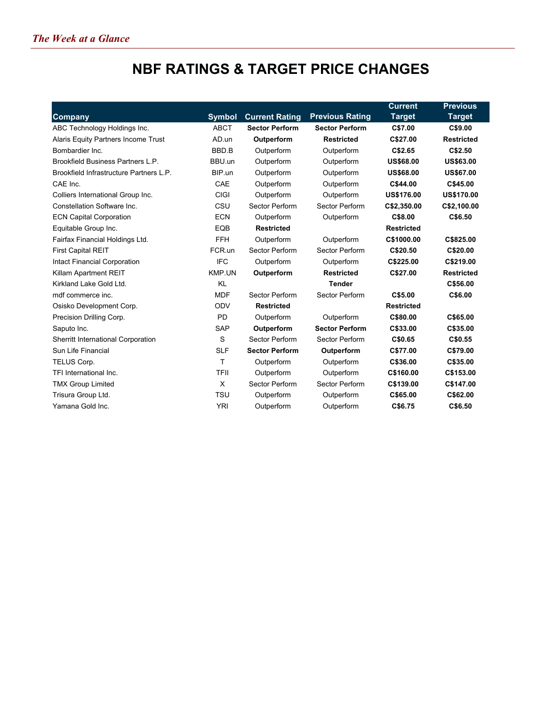# **NBF RATINGS & TARGET PRICE CHANGES**

|                                         |               |                       |                        | <b>Current</b>    | <b>Previous</b>   |
|-----------------------------------------|---------------|-----------------------|------------------------|-------------------|-------------------|
| <b>Company</b>                          | <b>Symbol</b> | <b>Current Rating</b> | <b>Previous Rating</b> | <b>Target</b>     | <b>Target</b>     |
| ABC Technology Holdings Inc.            | <b>ABCT</b>   | <b>Sector Perform</b> | <b>Sector Perform</b>  | C\$7.00           | C\$9.00           |
| Alaris Equity Partners Income Trust     | AD.un         | Outperform            | <b>Restricted</b>      | C\$27.00          | <b>Restricted</b> |
| Bombardier Inc.                         | BBD.B         | Outperform            | Outperform             | C\$2.65           | C\$2.50           |
| Brookfield Business Partners L.P.       | BBU.un        | Outperform            | Outperform             | <b>US\$68.00</b>  | <b>US\$63.00</b>  |
| Brookfield Infrastructure Partners L.P. | BIP.un        | Outperform            | Outperform             | <b>US\$68.00</b>  | <b>US\$67.00</b>  |
| CAE Inc.                                | CAE           | Outperform            | Outperform             | C\$44.00          | C\$45.00          |
| Colliers International Group Inc.       | <b>CIGI</b>   | Outperform            | Outperform             | <b>US\$176.00</b> | <b>US\$170.00</b> |
| Constellation Software Inc.             | CSU           | Sector Perform        | Sector Perform         | C\$2,350.00       | C\$2,100.00       |
| <b>ECN Capital Corporation</b>          | <b>ECN</b>    | Outperform            | Outperform             | C\$8.00           | C\$6.50           |
| Equitable Group Inc.                    | EQB           | <b>Restricted</b>     |                        | <b>Restricted</b> |                   |
| Fairfax Financial Holdings Ltd.         | <b>FFH</b>    | Outperform            | Outperform             | C\$1000.00        | C\$825.00         |
| <b>First Capital REIT</b>               | FCR.un        | Sector Perform        | Sector Perform         | C\$20.50          | C\$20.00          |
| Intact Financial Corporation            | <b>IFC</b>    | Outperform            | Outperform             | C\$225.00         | C\$219.00         |
| Killam Apartment REIT                   | KMP.UN        | Outperform            | <b>Restricted</b>      | C\$27.00          | <b>Restricted</b> |
| Kirkland Lake Gold Ltd.                 | KL            |                       | <b>Tender</b>          |                   | C\$56.00          |
| mdf commerce inc.                       | <b>MDF</b>    | Sector Perform        | Sector Perform         | C\$5.00           | C\$6.00           |
| Osisko Development Corp.                | ODV           | <b>Restricted</b>     |                        | <b>Restricted</b> |                   |
| Precision Drilling Corp.                | <b>PD</b>     | Outperform            | Outperform             | C\$80.00          | C\$65.00          |
| Saputo Inc.                             | <b>SAP</b>    | Outperform            | <b>Sector Perform</b>  | C\$33.00          | C\$35.00          |
| Sherritt International Corporation      | S             | Sector Perform        | Sector Perform         | C\$0.65           | C\$0.55           |
| Sun Life Financial                      | <b>SLF</b>    | <b>Sector Perform</b> | Outperform             | C\$77.00          | C\$79.00          |
| TELUS Corp.                             | T.            | Outperform            | Outperform             | C\$36.00          | C\$35.00          |
| TFI International Inc.                  | <b>TFII</b>   | Outperform            | Outperform             | C\$160.00         | C\$153.00         |
| <b>TMX Group Limited</b>                | Χ             | Sector Perform        | Sector Perform         | C\$139.00         | C\$147.00         |
| Trisura Group Ltd.                      | <b>TSU</b>    | Outperform            | Outperform             | C\$65.00          | C\$62.00          |
| Yamana Gold Inc.                        | <b>YRI</b>    | Outperform            | Outperform             | C\$6.75           | C\$6.50           |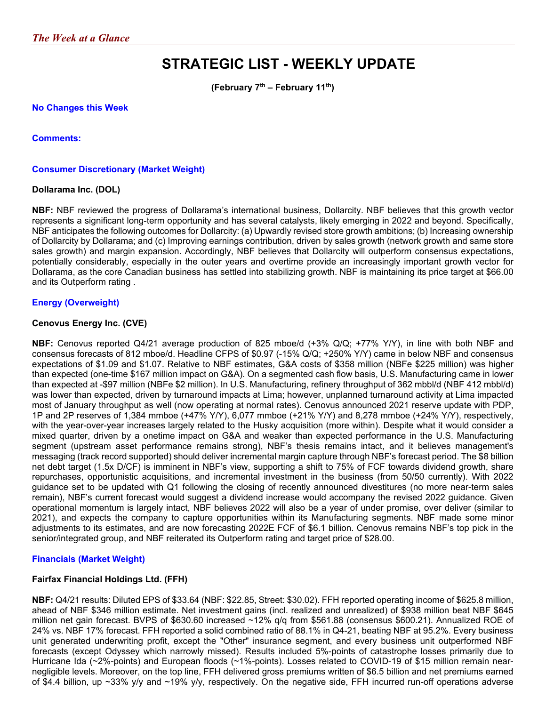# **STRATEGIC LIST - WEEKLY UPDATE**

**(February 7th – February 11th)**

#### **No Changes this Week**

**Comments:**

#### **Consumer Discretionary (Market Weight)**

#### **Dollarama Inc. (DOL)**

**NBF:** NBF reviewed the progress of Dollarama's international business, Dollarcity. NBF believes that this growth vector represents a significant long-term opportunity and has several catalysts, likely emerging in 2022 and beyond. Specifically, NBF anticipates the following outcomes for Dollarcity: (a) Upwardly revised store growth ambitions; (b) Increasing ownership of Dollarcity by Dollarama; and (c) Improving earnings contribution, driven by sales growth (network growth and same store sales growth) and margin expansion. Accordingly, NBF believes that Dollarcity will outperform consensus expectations, potentially considerably, especially in the outer years and overtime provide an increasingly important growth vector for Dollarama, as the core Canadian business has settled into stabilizing growth. NBF is maintaining its price target at \$66.00 and its Outperform rating .

#### **Energy (Overweight)**

#### **Cenovus Energy Inc. (CVE)**

**NBF:** Cenovus reported Q4/21 average production of 825 mboe/d (+3% Q/Q; +77% Y/Y), in line with both NBF and consensus forecasts of 812 mboe/d. Headline CFPS of \$0.97 (-15% Q/Q; +250% Y/Y) came in below NBF and consensus expectations of \$1.09 and \$1.07. Relative to NBF estimates, G&A costs of \$358 million (NBFe \$225 million) was higher than expected (one-time \$167 million impact on G&A). On a segmented cash flow basis, U.S. Manufacturing came in lower than expected at -\$97 million (NBFe \$2 million). In U.S. Manufacturing, refinery throughput of 362 mbbl/d (NBF 412 mbbl/d) was lower than expected, driven by turnaround impacts at Lima; however, unplanned turnaround activity at Lima impacted most of January throughput as well (now operating at normal rates). Cenovus announced 2021 reserve update with PDP, 1P and 2P reserves of 1,384 mmboe (+47% Y/Y), 6,077 mmboe (+21% Y/Y) and 8,278 mmboe (+24% Y/Y), respectively, with the year-over-year increases largely related to the Husky acquisition (more within). Despite what it would consider a mixed quarter, driven by a onetime impact on G&A and weaker than expected performance in the U.S. Manufacturing segment (upstream asset performance remains strong), NBF's thesis remains intact, and it believes management's messaging (track record supported) should deliver incremental margin capture through NBF's forecast period. The \$8 billion net debt target (1.5x D/CF) is imminent in NBF's view, supporting a shift to 75% of FCF towards dividend growth, share repurchases, opportunistic acquisitions, and incremental investment in the business (from 50/50 currently). With 2022 guidance set to be updated with Q1 following the closing of recently announced divestitures (no more near-term sales remain), NBF's current forecast would suggest a dividend increase would accompany the revised 2022 guidance. Given operational momentum is largely intact, NBF believes 2022 will also be a year of under promise, over deliver (similar to 2021), and expects the company to capture opportunities within its Manufacturing segments. NBF made some minor adjustments to its estimates, and are now forecasting 2022E FCF of \$6.1 billion. Cenovus remains NBF's top pick in the senior/integrated group, and NBF reiterated its Outperform rating and target price of \$28.00.

#### **Financials (Market Weight)**

#### **Fairfax Financial Holdings Ltd. (FFH)**

**NBF:** Q4/21 results: Diluted EPS of \$33.64 (NBF: \$22.85, Street: \$30.02). FFH reported operating income of \$625.8 million, ahead of NBF \$346 million estimate. Net investment gains (incl. realized and unrealized) of \$938 million beat NBF \$645 million net gain forecast. BVPS of \$630.60 increased ~12% q/q from \$561.88 (consensus \$600.21). Annualized ROE of 24% vs. NBF 17% forecast. FFH reported a solid combined ratio of 88.1% in Q4-21, beating NBF at 95.2%. Every business unit generated underwriting profit, except the "Other" insurance segment, and every business unit outperformed NBF forecasts (except Odyssey which narrowly missed). Results included 5%-points of catastrophe losses primarily due to Hurricane Ida (~2%-points) and European floods (~1%-points). Losses related to COVID-19 of \$15 million remain nearnegligible levels. Moreover, on the top line, FFH delivered gross premiums written of \$6.5 billion and net premiums earned of \$4.4 billion, up ~33% y/y and ~19% y/y, respectively. On the negative side, FFH incurred run-off operations adverse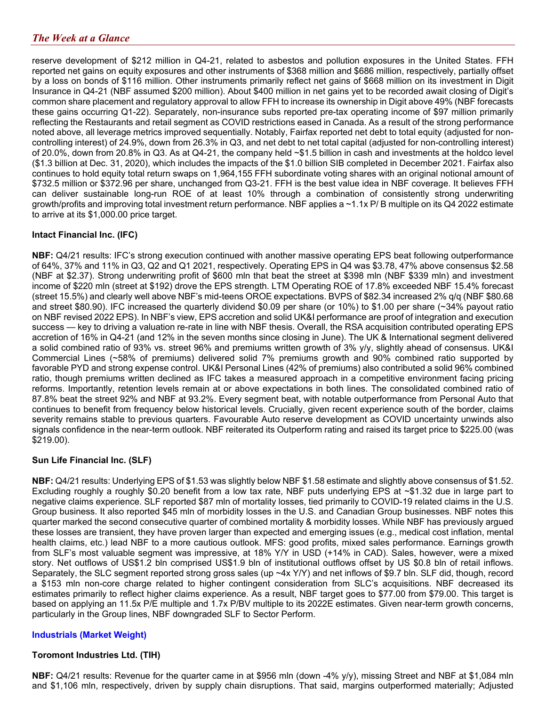reserve development of \$212 million in Q4-21, related to asbestos and pollution exposures in the United States. FFH reported net gains on equity exposures and other instruments of \$368 million and \$686 million, respectively, partially offset by a loss on bonds of \$116 million. Other instruments primarily reflect net gains of \$668 million on its investment in Digit Insurance in Q4-21 (NBF assumed \$200 million). About \$400 million in net gains yet to be recorded await closing of Digit's common share placement and regulatory approval to allow FFH to increase its ownership in Digit above 49% (NBF forecasts these gains occurring Q1-22). Separately, non-insurance subs reported pre-tax operating income of \$97 million primarily reflecting the Restaurants and retail segment as COVID restrictions eased in Canada. As a result of the strong performance noted above, all leverage metrics improved sequentially. Notably, Fairfax reported net debt to total equity (adjusted for noncontrolling interest) of 24.9%, down from 26.3% in Q3, and net debt to net total capital (adjusted for non-controlling interest) of 20.0%, down from 20.8% in Q3. As at Q4-21, the company held ~\$1.5 billion in cash and investments at the holdco level (\$1.3 billion at Dec. 31, 2020), which includes the impacts of the \$1.0 billion SIB completed in December 2021. Fairfax also continues to hold equity total return swaps on 1,964,155 FFH subordinate voting shares with an original notional amount of \$732.5 million or \$372.96 per share, unchanged from Q3-21. FFH is the best value idea in NBF coverage. It believes FFH can deliver sustainable long-run ROE of at least 10% through a combination of consistently strong underwriting growth/profits and improving total investment return performance. NBF applies a ~1.1x P/ B multiple on its Q4 2022 estimate to arrive at its \$1,000.00 price target.

### **Intact Financial Inc. (IFC)**

**NBF:** Q4/21 results: IFC's strong execution continued with another massive operating EPS beat following outperformance of 64%, 37% and 11% in Q3, Q2 and Q1 2021, respectively. Operating EPS in Q4 was \$3.78, 47% above consensus \$2.58 (NBF at \$2.37). Strong underwriting profit of \$600 mln that beat the street at \$398 mln (NBF \$339 mln) and investment income of \$220 mln (street at \$192) drove the EPS strength. LTM Operating ROE of 17.8% exceeded NBF 15.4% forecast (street 15.5%) and clearly well above NBF's mid-teens OROE expectations. BVPS of \$82.34 increased 2% q/q (NBF \$80.68 and street \$80.90). IFC increased the quarterly dividend \$0.09 per share (or 10%) to \$1.00 per share (~34% payout ratio on NBF revised 2022 EPS). In NBF's view, EPS accretion and solid UK&I performance are proof of integration and execution success — key to driving a valuation re-rate in line with NBF thesis. Overall, the RSA acquisition contributed operating EPS accretion of 16% in Q4-21 (and 12% in the seven months since closing in June). The UK & International segment delivered a solid combined ratio of 93% vs. street 96% and premiums written growth of 3% y/y, slightly ahead of consensus. UK&I Commercial Lines (~58% of premiums) delivered solid 7% premiums growth and 90% combined ratio supported by favorable PYD and strong expense control. UK&I Personal Lines (42% of premiums) also contributed a solid 96% combined ratio, though premiums written declined as IFC takes a measured approach in a competitive environment facing pricing reforms. Importantly, retention levels remain at or above expectations in both lines. The consolidated combined ratio of 87.8% beat the street 92% and NBF at 93.2%. Every segment beat, with notable outperformance from Personal Auto that continues to benefit from frequency below historical levels. Crucially, given recent experience south of the border, claims severity remains stable to previous quarters. Favourable Auto reserve development as COVID uncertainty unwinds also signals confidence in the near-term outlook. NBF reiterated its Outperform rating and raised its target price to \$225.00 (was \$219.00).

#### **Sun Life Financial Inc. (SLF)**

**NBF:** Q4/21 results: Underlying EPS of \$1.53 was slightly below NBF \$1.58 estimate and slightly above consensus of \$1.52. Excluding roughly a roughly \$0.20 benefit from a low tax rate, NBF puts underlying EPS at ~\$1.32 due in large part to negative claims experience. SLF reported \$87 mln of mortality losses, tied primarily to COVID-19 related claims in the U.S. Group business. It also reported \$45 mln of morbidity losses in the U.S. and Canadian Group businesses. NBF notes this quarter marked the second consecutive quarter of combined mortality & morbidity losses. While NBF has previously argued these losses are transient, they have proven larger than expected and emerging issues (e.g., medical cost inflation, mental health claims, etc.) lead NBF to a more cautious outlook. MFS: good profits, mixed sales performance. Earnings growth from SLF's most valuable segment was impressive, at 18% Y/Y in USD (+14% in CAD). Sales, however, were a mixed story. Net outflows of US\$1.2 bln comprised US\$1.9 bln of institutional outflows offset by US \$0.8 bln of retail inflows. Separately, the SLC segment reported strong gross sales (up ~4x Y/Y) and net inflows of \$9.7 bln. SLF did, though, record a \$153 mln non-core charge related to higher contingent consideration from SLC's acquisitions. NBF decreased its estimates primarily to reflect higher claims experience. As a result, NBF target goes to \$77.00 from \$79.00. This target is based on applying an 11.5x P/E multiple and 1.7x P/BV multiple to its 2022E estimates. Given near-term growth concerns, particularly in the Group lines, NBF downgraded SLF to Sector Perform.

#### **Industrials (Market Weight)**

#### **Toromont Industries Ltd. (TIH)**

**NBF:** Q4/21 results: Revenue for the quarter came in at \$956 mln (down -4% y/y), missing Street and NBF at \$1,084 mln and \$1,106 mln, respectively, driven by supply chain disruptions. That said, margins outperformed materially; Adjusted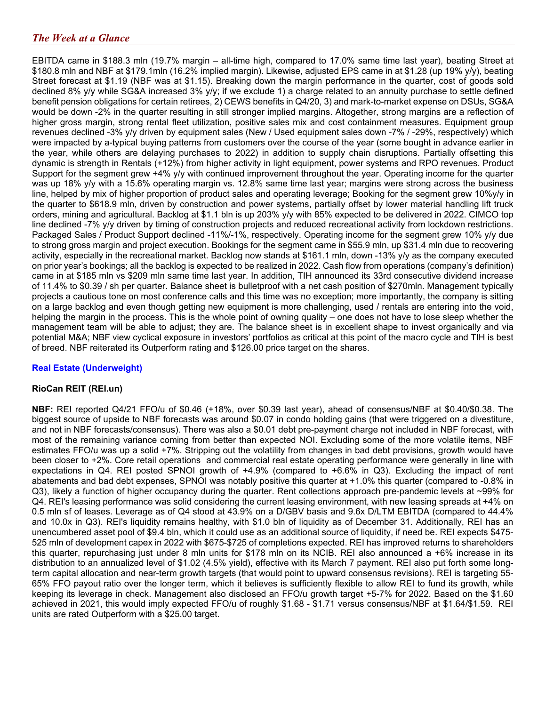EBITDA came in \$188.3 mln (19.7% margin – all-time high, compared to 17.0% same time last year), beating Street at \$180.8 mln and NBF at \$179.1mln (16.2% implied margin). Likewise, adjusted EPS came in at \$1.28 (up 19% y/y), beating Street forecast at \$1.19 (NBF was at \$1.15). Breaking down the margin performance in the quarter, cost of goods sold declined 8% y/y while SG&A increased 3% y/y; if we exclude 1) a charge related to an annuity purchase to settle defined benefit pension obligations for certain retirees, 2) CEWS benefits in Q4/20, 3) and mark-to-market expense on DSUs, SG&A would be down -2% in the quarter resulting in still stronger implied margins. Altogether, strong margins are a reflection of higher gross margin, strong rental fleet utilization, positive sales mix and cost containment measures. Equipment group revenues declined -3% y/y driven by equipment sales (New / Used equipment sales down -7% / -29%, respectively) which were impacted by a-typical buying patterns from customers over the course of the year (some bought in advance earlier in the year, while others are delaying purchases to 2022) in addition to supply chain disruptions. Partially offsetting this dynamic is strength in Rentals (+12%) from higher activity in light equipment, power systems and RPO revenues. Product Support for the segment grew +4% y/y with continued improvement throughout the year. Operating income for the quarter was up 18% y/y with a 15.6% operating margin vs. 12.8% same time last year; margins were strong across the business line, helped by mix of higher proportion of product sales and operating leverage; Booking for the segment grew 10%y/y in the quarter to \$618.9 mln, driven by construction and power systems, partially offset by lower material handling lift truck orders, mining and agricultural. Backlog at \$1.1 bln is up 203% y/y with 85% expected to be delivered in 2022. CIMCO top line declined -7% y/y driven by timing of construction projects and reduced recreational activity from lockdown restrictions. Packaged Sales / Product Support declined -11%/-1%, respectively. Operating income for the segment grew 10% y/y due to strong gross margin and project execution. Bookings for the segment came in \$55.9 mln, up \$31.4 mln due to recovering activity, especially in the recreational market. Backlog now stands at \$161.1 mln, down -13% y/y as the company executed on prior year's bookings; all the backlog is expected to be realized in 2022. Cash flow from operations (company's definition) came in at \$185 mln vs \$209 mln same time last year. In addition, TIH announced its 33rd consecutive dividend increase of 11.4% to \$0.39 / sh per quarter. Balance sheet is bulletproof with a net cash position of \$270mln. Management typically projects a cautious tone on most conference calls and this time was no exception; more importantly, the company is sitting on a large backlog and even though getting new equipment is more challenging, used / rentals are entering into the void, helping the margin in the process. This is the whole point of owning quality – one does not have to lose sleep whether the management team will be able to adjust; they are. The balance sheet is in excellent shape to invest organically and via potential M&A; NBF view cyclical exposure in investors' portfolios as critical at this point of the macro cycle and TIH is best of breed. NBF reiterated its Outperform rating and \$126.00 price target on the shares.

### **Real Estate (Underweight)**

#### **RioCan REIT (REI.un)**

**NBF:** REI reported Q4/21 FFO/u of \$0.46 (+18%, over \$0.39 last year), ahead of consensus/NBF at \$0.40/\$0.38. The biggest source of upside to NBF forecasts was around \$0.07 in condo holding gains (that were triggered on a divestiture, and not in NBF forecasts/consensus). There was also a \$0.01 debt pre-payment charge not included in NBF forecast, with most of the remaining variance coming from better than expected NOI. Excluding some of the more volatile items, NBF estimates FFO/u was up a solid +7%. Stripping out the volatility from changes in bad debt provisions, growth would have been closer to +2%. Core retail operations and commercial real estate operating performance were generally in line with expectations in Q4. REI posted SPNOI growth of +4.9% (compared to +6.6% in Q3). Excluding the impact of rent abatements and bad debt expenses, SPNOI was notably positive this quarter at +1.0% this quarter (compared to -0.8% in Q3), likely a function of higher occupancy during the quarter. Rent collections approach pre-pandemic levels at ~99% for Q4. REI's leasing performance was solid considering the current leasing environment, with new leasing spreads at +4% on 0.5 mln sf of leases. Leverage as of Q4 stood at 43.9% on a D/GBV basis and 9.6x D/LTM EBITDA (compared to 44.4% and 10.0x in Q3). REI's liquidity remains healthy, with \$1.0 bln of liquidity as of December 31. Additionally, REI has an unencumbered asset pool of \$9.4 bln, which it could use as an additional source of liquidity, if need be. REI expects \$475- 525 mln of development capex in 2022 with \$675-\$725 of completions expected. REI has improved returns to shareholders this quarter, repurchasing just under 8 mln units for \$178 mln on its NCIB. REI also announced a +6% increase in its distribution to an annualized level of \$1.02 (4.5% yield), effective with its March 7 payment. REI also put forth some longterm capital allocation and near-term growth targets (that would point to upward consensus revisions). REI is targeting 55- 65% FFO payout ratio over the longer term, which it believes is sufficiently flexible to allow REI to fund its growth, while keeping its leverage in check. Management also disclosed an FFO/u growth target +5-7% for 2022. Based on the \$1.60 achieved in 2021, this would imply expected FFO/u of roughly \$1.68 - \$1.71 versus consensus/NBF at \$1.64/\$1.59. REI units are rated Outperform with a \$25.00 target.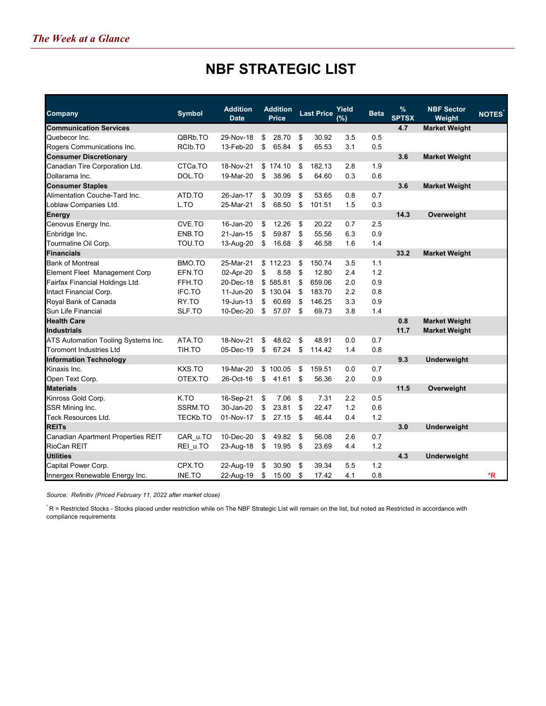## **NBF STRATEGIC LIST**

| Company                             | <b>Symbol</b>        | <b>Addition</b><br><b>Date</b> | <b>Addition</b><br>Price | <b>Last Price</b> | Yield<br>$(\%)$ | <b>Beta</b> | $\%$<br><b>SPTSX</b> | <b>NBF Sector</b><br>Weight | <b>NOTES</b> |
|-------------------------------------|----------------------|--------------------------------|--------------------------|-------------------|-----------------|-------------|----------------------|-----------------------------|--------------|
| <b>Communication Services</b>       |                      |                                |                          |                   |                 |             | 4.7                  | <b>Market Weight</b>        |              |
| Quebecor Inc.                       | QBRb.TO              | 29-Nov-18                      | \$<br>28.70              | \$<br>30.92       | 3.5             | 0.5         |                      |                             |              |
| Rogers Communications Inc.          | RCI <sub>b</sub> .TO | 13-Feb-20                      | \$<br>65.84              | \$<br>65.53       | 3.1             | 0.5         |                      |                             |              |
| <b>Consumer Discretionary</b>       |                      |                                |                          |                   |                 |             | 3.6                  | <b>Market Weight</b>        |              |
| Canadian Tire Corporation Ltd.      | CTCa.TO              | 18-Nov-21                      | \$174.10                 | \$<br>182.13      | 2.8             | 1.9         |                      |                             |              |
| Dollarama Inc.                      | DOL.TO               | 19-Mar-20                      | \$<br>38.96              | \$<br>64.60       | 0.3             | 0.6         |                      |                             |              |
| <b>Consumer Staples</b>             |                      |                                |                          |                   |                 |             | 3.6                  | <b>Market Weight</b>        |              |
| Alimentation Couche-Tard Inc.       | ATD.TO               | 26-Jan-17                      | \$<br>30.09              | \$<br>53.65       | 0.8             | 0.7         |                      |                             |              |
| Loblaw Companies Ltd.               | L.TO                 | 25-Mar-21                      | \$<br>68.50              | \$<br>101.51      | 1.5             | 0.3         |                      |                             |              |
| <b>Energy</b>                       |                      |                                |                          |                   |                 |             | 14.3                 | Overweight                  |              |
| Cenovus Energy Inc.                 | CVE.TO               | 16-Jan-20                      | \$<br>12.26              | \$<br>20.22       | 0.7             | 2.5         |                      |                             |              |
| Enbridge Inc.                       | ENB.TO               | 21-Jan-15                      | \$<br>59.87              | \$<br>55.56       | 6.3             | 0.9         |                      |                             |              |
| Tourmaline Oil Corp.                | TOU.TO               | 13-Aug-20                      | \$<br>16.68              | \$<br>46.58       | 1.6             | 1.4         |                      |                             |              |
| <b>Financials</b>                   |                      |                                |                          |                   |                 |             | 33.2                 | <b>Market Weight</b>        |              |
| <b>Bank of Montreal</b>             | BMO.TO               | 25-Mar-21                      | \$112.23                 | \$<br>150.74      | 3.5             | 1.1         |                      |                             |              |
| Element Fleet Management Corp       | EFN.TO               | 02-Apr-20                      | \$<br>8.58               | \$<br>12.80       | 2.4             | 1.2         |                      |                             |              |
| Fairfax Financial Holdings Ltd.     | FFH.TO               | 20-Dec-18                      | \$585.81                 | \$<br>659.06      | 2.0             | 0.9         |                      |                             |              |
| Intact Financial Corp.              | IFC.TO               | 11-Jun-20                      | \$130.04                 | \$<br>183.70      | 2.2             | 0.8         |                      |                             |              |
| Royal Bank of Canada                | RY.TO                | 19-Jun-13                      | \$<br>60.69              | \$<br>146.25      | 3.3             | 0.9         |                      |                             |              |
| Sun Life Financial                  | SLF.TO               | 10-Dec-20                      | \$<br>57.07              | \$<br>69.73       | 3.8             | 1.4         |                      |                             |              |
| <b>Health Care</b>                  |                      |                                |                          |                   |                 |             | 0.8                  | <b>Market Weight</b>        |              |
| <b>Industrials</b>                  |                      |                                |                          |                   |                 |             | 11.7                 | <b>Market Weight</b>        |              |
| ATS Automation Tooling Systems Inc. | ATA.TO               | 18-Nov-21                      | \$<br>48.62              | \$<br>48.91       | 0.0             | 0.7         |                      |                             |              |
| <b>Toromont Industries Ltd</b>      | TIH.TO               | 05-Dec-19                      | \$<br>67.24              | \$<br>114.42      | 1.4             | 0.8         |                      |                             |              |
| <b>Information Technology</b>       |                      |                                |                          |                   |                 |             | 9.3                  | Underweight                 |              |
| Kinaxis Inc.                        | KXS.TO               | 19-Mar-20                      | \$100.05                 | \$<br>159.51      | 0.0             | 0.7         |                      |                             |              |
| Open Text Corp.                     | OTEX.TO              | 26-Oct-16                      | \$<br>41.61              | \$<br>56.36       | 2.0             | 0.9         |                      |                             |              |
| <b>Materials</b>                    |                      |                                |                          |                   |                 |             | 11.5                 | Overweight                  |              |
| Kinross Gold Corp.                  | K.TO                 | 16-Sep-21                      | \$<br>7.06               | \$<br>7.31        | 2.2             | 0.5         |                      |                             |              |
| SSR Mining Inc.                     | SSRM.TO              | 30-Jan-20                      | \$<br>23.81              | \$<br>22.47       | 1.2             | 0.6         |                      |                             |              |
| Teck Resources Ltd.                 | <b>TECKb.TO</b>      | 01-Nov-17                      | \$<br>27.15              | \$<br>46.44       | 0.4             | 1.2         |                      |                             |              |
| <b>REITs</b>                        |                      |                                |                          |                   |                 |             | 3.0                  | <b>Underweight</b>          |              |
| Canadian Apartment Properties REIT  | CAR u.TO             | 10-Dec-20                      | \$<br>49.82              | \$<br>56.08       | 2.6             | 0.7         |                      |                             |              |
| RioCan REIT                         | REI u.TO             | 23-Aug-18                      | \$<br>19.95              | \$<br>23.69       | 4.4             | 1.2         |                      |                             |              |
| <b>Utilities</b>                    |                      |                                |                          |                   |                 |             | 4.3                  | Underweight                 |              |
| Capital Power Corp.                 | CPX.TO               | 22-Aug-19                      | \$<br>30.90              | \$<br>39.34       | 5.5             | 1.2         |                      |                             |              |
| Innergex Renewable Energy Inc.      | INE.TO               | 22-Aug-19                      | \$<br>15.00              | \$<br>17.42       | 4.1             | 0.8         |                      |                             | *R           |

*Source: Refinitiv (Priced February 11, 2022 after market close)*

\* R = Restricted Stocks - Stocks placed under restriction while on The NBF Strategic List will remain on the list, but noted as Restricted in accordance with compliance requirements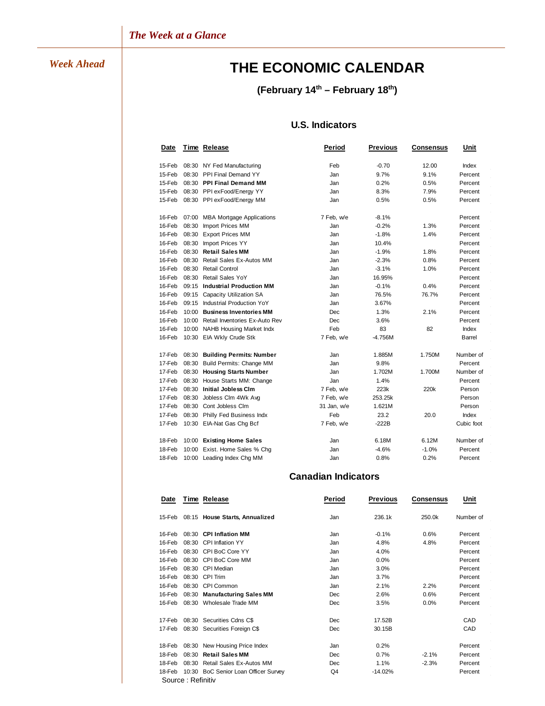# *Week Ahead* **THE ECONOMIC CALENDAR**

## **(February 14th – February 18th)**

## **U.S. Indicators**

| Date   |       | <b>Time Release</b>              | Period      | <b>Previous</b> | <b>Consensus</b> | Unit       |
|--------|-------|----------------------------------|-------------|-----------------|------------------|------------|
| 15-Feb | 08:30 | NY Fed Manufacturing             | Feb         | $-0.70$         | 12.00            | Index      |
| 15-Feb | 08:30 | PPI Final Demand YY              | Jan         | 9.7%            | 9.1%             | Percent    |
| 15-Feb | 08:30 | <b>PPI Final Demand MM</b>       | Jan         | 0.2%            | 0.5%             | Percent    |
| 15-Feb | 08:30 | PPI exFood/Energy YY             | Jan         | 8.3%            | 7.9%             | Percent    |
| 15-Feb |       | 08:30 PPI exFood/Energy MM       | Jan         | 0.5%            | 0.5%             | Percent    |
| 16-Feb | 07:00 | <b>MBA Mortgage Applications</b> | 7 Feb, w/e  | $-8.1%$         |                  | Percent    |
| 16-Feb | 08:30 | Import Prices MM                 | Jan         | $-0.2%$         | 1.3%             | Percent    |
| 16-Feb | 08:30 | <b>Export Prices MM</b>          | Jan         | $-1.8%$         | 1.4%             | Percent    |
| 16-Feb | 08:30 | Import Prices YY                 | Jan         | 10.4%           |                  | Percent    |
| 16-Feb | 08:30 | <b>Retail Sales MM</b>           | Jan         | $-1.9%$         | 1.8%             | Percent    |
| 16-Feb | 08:30 | Retail Sales Ex-Autos MM         | Jan         | $-2.3%$         | 0.8%             | Percent    |
| 16-Feb | 08:30 | <b>Retail Control</b>            | Jan         | $-3.1%$         | 1.0%             | Percent    |
| 16-Feb | 08:30 | <b>Retail Sales YoY</b>          | Jan         | 16.95%          |                  | Percent    |
| 16-Feb | 09:15 | <b>Industrial Production MM</b>  | Jan         | $-0.1%$         | 0.4%             | Percent    |
| 16-Feb | 09:15 | Capacity Utilization SA          | Jan         | 76.5%           | 76.7%            | Percent    |
| 16-Feb | 09:15 | Industrial Production YoY        | Jan         | 3.67%           |                  | Percent    |
| 16-Feb | 10:00 | <b>Business Inventories MM</b>   | Dec         | 1.3%            | 2.1%             | Percent    |
| 16-Feb | 10:00 | Retail Inventories Ex-Auto Rev   | Dec         | 3.6%            |                  | Percent    |
| 16-Feb | 10:00 | <b>NAHB Housing Market Indx</b>  | Feb         | 83              | 82               | Index      |
| 16-Feb |       | 10:30 EIA Wkly Crude Stk         | 7 Feb, w/e  | $-4.756M$       |                  | Barrel     |
| 17-Feb | 08:30 | <b>Building Permits: Number</b>  | Jan         | 1.885M          | 1.750M           | Number of  |
| 17-Feb | 08:30 | Build Permits: Change MM         | Jan         | 9.8%            |                  | Percent    |
| 17-Feb | 08:30 | <b>Housing Starts Number</b>     | Jan         | 1.702M          | 1.700M           | Number of  |
| 17-Feb | 08:30 | House Starts MM: Change          | Jan         | 1.4%            |                  | Percent    |
| 17-Feb | 08:30 | <b>Initial Jobless Clm</b>       | 7 Feb, w/e  | 223k            | 220k             | Person     |
| 17-Feb | 08:30 | Jobless Clm 4Wk Avg              | 7 Feb, w/e  | 253.25k         |                  | Person     |
| 17-Feb | 08:30 | Cont Jobless Clm                 | 31 Jan, w/e | 1.621M          |                  | Person     |
| 17-Feb | 08:30 | Philly Fed Business Indx         | Feb         | 23.2            | 20.0             | Index      |
| 17-Feb |       | 10:30 EIA-Nat Gas Chg Bcf        | 7 Feb, w/e  | $-222B$         |                  | Cubic foot |
| 18-Feb |       | 10:00 Existing Home Sales        | Jan         | 6.18M           | 6.12M            | Number of  |
| 18-Feb | 10:00 | Exist. Home Sales % Chg          | Jan         | $-4.6%$         | $-1.0%$          | Percent    |
| 18-Feb |       | 10:00 Leading Index Chg MM       | Jan         | 0.8%            | 0.2%             | Percent    |

## **Canadian Indicators**

 $\epsilon$ 

| Date   |                    | Time Release                         | Period     | <b>Previous</b> | Consensus | Unit      |
|--------|--------------------|--------------------------------------|------------|-----------------|-----------|-----------|
| 15-Feb |                    | 08:15 House Starts, Annualized       | Jan        | 236.1k          | 250.0k    | Number of |
| 16-Feb |                    | 08:30 CPI Inflation MM               | Jan        | $-0.1%$         | 0.6%      | Percent   |
| 16-Feb | 08:30              | <b>CPI Inflation YY</b>              | Jan        | 4.8%            | 4.8%      | Percent   |
| 16-Feb | 08:30              | CPI BoC Core YY                      | Jan        | 4.0%            |           | Percent   |
| 16-Feb | 08:30              | CPI BoC Core MM                      | Jan        | 0.0%            |           | Percent   |
| 16-Feb | 08:30              | CPI Median                           | Jan        | 3.0%            |           | Percent   |
| 16-Feb | 08:30              | CPI Trim                             | Jan        | 3.7%            |           | Percent   |
| 16-Feb | 08:30              | CPI Common                           | Jan        | 2.1%            | 2.2%      | Percent   |
| 16-Feb | 08:30              | <b>Manufacturing Sales MM</b>        | Dec        | 2.6%            | 0.6%      | Percent   |
| 16-Feb | 08:30              | Wholesale Trade MM                   | Dec        | 3.5%            | 0.0%      | Percent   |
| 17-Feb |                    | 08:30 Securities Cdns C\$            | <b>Dec</b> | 17.52B          |           | CAD       |
| 17-Feb |                    | 08:30 Securities Foreign C\$         | Dec        | 30.15B          |           | CAD       |
| 18-Feb |                    | 08:30 New Housing Price Index        | Jan        | 0.2%            |           | Percent   |
| 18-Feb | 08:30              | <b>Retail Sales MM</b>               | Dec        | 0.7%            | $-2.1%$   | Percent   |
| 18-Feb | 08:30              | Retail Sales Ex-Autos MM             | Dec        | 1.1%            | $-2.3%$   | Percent   |
| 18-Feb |                    | 10:30 BoC Senior Loan Officer Survey | Q4         | $-14.02%$       |           | Percent   |
|        | Source : Refinitiv |                                      |            |                 |           |           |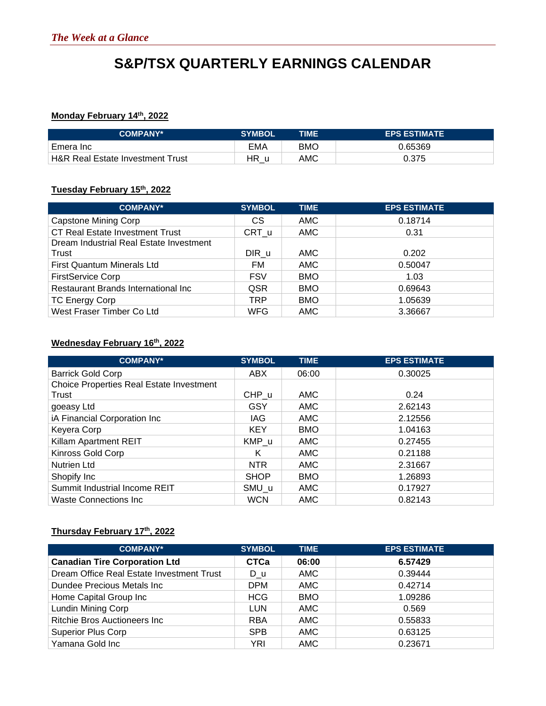# **S&P/TSX QUARTERLY EARNINGS CALENDAR**

## **Monday February 14th, 2022**

| <b>COMPANY*</b>                             | <b>SYMBOL</b> | TIME       | <b>EPS ESTIMATE</b> |
|---------------------------------------------|---------------|------------|---------------------|
| Emera Inc                                   | EMA           | <b>BMO</b> | 0.65369             |
| <b>H&amp;R Real Estate Investment Trust</b> | HR u          | AMC        | 0.375               |

### **Tuesday February 15th, 2022**

| <b>COMPANY*</b>                         | <b>SYMBOL</b> | <b>TIME</b> | <b>EPS ESTIMATE</b> |
|-----------------------------------------|---------------|-------------|---------------------|
| <b>Capstone Mining Corp</b>             | СS            | <b>AMC</b>  | 0.18714             |
| <b>CT Real Estate Investment Trust</b>  | $CRT_u$       | <b>AMC</b>  | 0.31                |
| Dream Industrial Real Estate Investment |               |             |                     |
| Trust                                   | DIR u         | AMC         | 0.202               |
| <b>First Quantum Minerals Ltd</b>       | FM            | <b>AMC</b>  | 0.50047             |
| <b>FirstService Corp</b>                | <b>FSV</b>    | <b>BMO</b>  | 1.03                |
| Restaurant Brands International Inc     | QSR           | <b>BMO</b>  | 0.69643             |
| <b>TC Energy Corp</b>                   | TRP           | <b>BMO</b>  | 1.05639             |
| West Fraser Timber Co Ltd               | <b>WFG</b>    | <b>AMC</b>  | 3.36667             |

#### **Wednesday February 16th, 2022**

| <b>COMPANY*</b>                                 | <b>SYMBOL</b> | <b>TIME</b> | <b>EPS ESTIMATE</b> |
|-------------------------------------------------|---------------|-------------|---------------------|
| <b>Barrick Gold Corp</b>                        | <b>ABX</b>    | 06:00       | 0.30025             |
| <b>Choice Properties Real Estate Investment</b> |               |             |                     |
| Trust                                           | CHP u         | <b>AMC</b>  | 0.24                |
| goeasy Ltd                                      | <b>GSY</b>    | <b>AMC</b>  | 2.62143             |
| iA Financial Corporation Inc                    | IAG           | <b>AMC</b>  | 2.12556             |
| Keyera Corp                                     | <b>KEY</b>    | <b>BMO</b>  | 1.04163             |
| Killam Apartment REIT                           | KMP u         | <b>AMC</b>  | 0.27455             |
| Kinross Gold Corp                               | Κ             | <b>AMC</b>  | 0.21188             |
| <b>Nutrien Ltd</b>                              | <b>NTR</b>    | <b>AMC</b>  | 2.31667             |
| Shopify Inc                                     | <b>SHOP</b>   | <b>BMO</b>  | 1.26893             |
| Summit Industrial Income REIT                   | SMU u         | <b>AMC</b>  | 0.17927             |
| Waste Connections Inc.                          | <b>WCN</b>    | <b>AMC</b>  | 0.82143             |

## **Thursday February 17th, 2022**

| <b>COMPANY*</b>                           | <b>SYMBOL</b> | <b>TIME</b> | <b>EPS ESTIMATE</b> |
|-------------------------------------------|---------------|-------------|---------------------|
| <b>Canadian Tire Corporation Ltd</b>      | <b>CTCa</b>   | 06:00       | 6.57429             |
| Dream Office Real Estate Investment Trust | D u           | <b>AMC</b>  | 0.39444             |
| Dundee Precious Metals Inc.               | DPM           | <b>AMC</b>  | 0.42714             |
| Home Capital Group Inc                    | <b>HCG</b>    | <b>BMO</b>  | 1.09286             |
| <b>Lundin Mining Corp</b>                 | <b>LUN</b>    | <b>AMC</b>  | 0.569               |
| Ritchie Bros Auctioneers Inc              | <b>RBA</b>    | <b>AMC</b>  | 0.55833             |
| <b>Superior Plus Corp</b>                 | <b>SPB</b>    | <b>AMC</b>  | 0.63125             |
| Yamana Gold Inc                           | YRI           | <b>AMC</b>  | 0.23671             |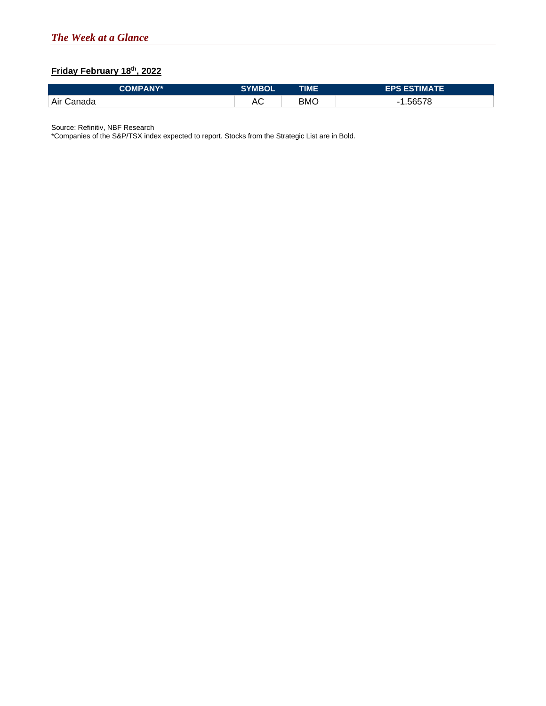## **Friday February 18th, 2022**

| <b>COMPANY*</b> | <b>SYMBOL</b> | TIME | <b>EPS ESTIMATE</b> |
|-----------------|---------------|------|---------------------|
| Air Canada      | ⊓∪            | вмс  | .56578              |

Source: Refinitiv, NBF Research

\*Companies of the S&P/TSX index expected to report. Stocks from the Strategic List are in Bold.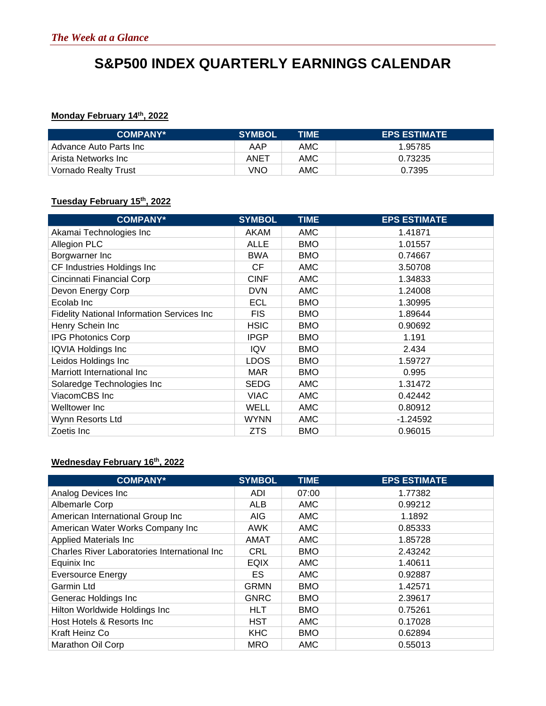# **S&P500 INDEX QUARTERLY EARNINGS CALENDAR**

## **Monday February 14th, 2022**

| <b>COMPANY*</b>        | <b>SYMBOL</b> | TIME | <b>EPS ESTIMATE</b> |
|------------------------|---------------|------|---------------------|
| Advance Auto Parts Inc | AAP           | AMC  | 1.95785             |
| Arista Networks Inc    | ANET          | AMC  | 0.73235             |
| Vornado Realty Trust   | VNO           | AMC  | 0.7395              |

## **Tuesday February 15th, 2022**

| <b>COMPANY*</b>                            | <b>SYMBOL</b> | <b>TIME</b> | <b>EPS ESTIMATE</b> |
|--------------------------------------------|---------------|-------------|---------------------|
| Akamai Technologies Inc                    | <b>AKAM</b>   | <b>AMC</b>  | 1.41871             |
| <b>Allegion PLC</b>                        | <b>ALLE</b>   | <b>BMO</b>  | 1.01557             |
| Borgwarner Inc                             | <b>BWA</b>    | <b>BMO</b>  | 0.74667             |
| CF Industries Holdings Inc                 | CF.           | <b>AMC</b>  | 3.50708             |
| Cincinnati Financial Corp                  | <b>CINF</b>   | <b>AMC</b>  | 1.34833             |
| Devon Energy Corp                          | <b>DVN</b>    | <b>AMC</b>  | 1.24008             |
| Ecolab Inc                                 | ECL           | <b>BMO</b>  | 1.30995             |
| Fidelity National Information Services Inc | <b>FIS</b>    | <b>BMO</b>  | 1.89644             |
| Henry Schein Inc                           | <b>HSIC</b>   | <b>BMO</b>  | 0.90692             |
| <b>IPG Photonics Corp</b>                  | <b>IPGP</b>   | <b>BMO</b>  | 1.191               |
| IQVIA Holdings Inc                         | <b>IQV</b>    | <b>BMO</b>  | 2.434               |
| Leidos Holdings Inc                        | <b>LDOS</b>   | <b>BMO</b>  | 1.59727             |
| Marriott International Inc                 | <b>MAR</b>    | <b>BMO</b>  | 0.995               |
| Solaredge Technologies Inc                 | <b>SEDG</b>   | <b>AMC</b>  | 1.31472             |
| ViacomCBS Inc                              | <b>VIAC</b>   | AMC         | 0.42442             |
| Welltower Inc                              | <b>WELL</b>   | <b>AMC</b>  | 0.80912             |
| Wynn Resorts Ltd                           | <b>WYNN</b>   | <b>AMC</b>  | $-1.24592$          |
| Zoetis Inc                                 | <b>ZTS</b>    | <b>BMO</b>  | 0.96015             |

## **Wednesday February 16th, 2022**

| <b>COMPANY*</b>                                     | <b>SYMBOL</b> | <b>TIME</b> | <b>EPS ESTIMATE</b> |
|-----------------------------------------------------|---------------|-------------|---------------------|
| Analog Devices Inc                                  | <b>ADI</b>    | 07:00       | 1.77382             |
| Albemarle Corp                                      | <b>ALB</b>    | <b>AMC</b>  | 0.99212             |
| American International Group Inc                    | <b>AIG</b>    | <b>AMC</b>  | 1.1892              |
| American Water Works Company Inc                    | <b>AWK</b>    | <b>AMC</b>  | 0.85333             |
| <b>Applied Materials Inc</b>                        | AMAT          | <b>AMC</b>  | 1.85728             |
| <b>Charles River Laboratories International Inc</b> | <b>CRL</b>    | <b>BMO</b>  | 2.43242             |
| Equinix Inc                                         | <b>EQIX</b>   | <b>AMC</b>  | 1.40611             |
| <b>Eversource Energy</b>                            | ES.           | <b>AMC</b>  | 0.92887             |
| <b>Garmin Ltd</b>                                   | <b>GRMN</b>   | <b>BMO</b>  | 1.42571             |
| Generac Holdings Inc                                | <b>GNRC</b>   | <b>BMO</b>  | 2.39617             |
| Hilton Worldwide Holdings Inc                       | <b>HLT</b>    | <b>BMO</b>  | 0.75261             |
| Host Hotels & Resorts Inc                           | <b>HST</b>    | <b>AMC</b>  | 0.17028             |
| Kraft Heinz Co                                      | <b>KHC</b>    | <b>BMO</b>  | 0.62894             |
| Marathon Oil Corp                                   | <b>MRO</b>    | <b>AMC</b>  | 0.55013             |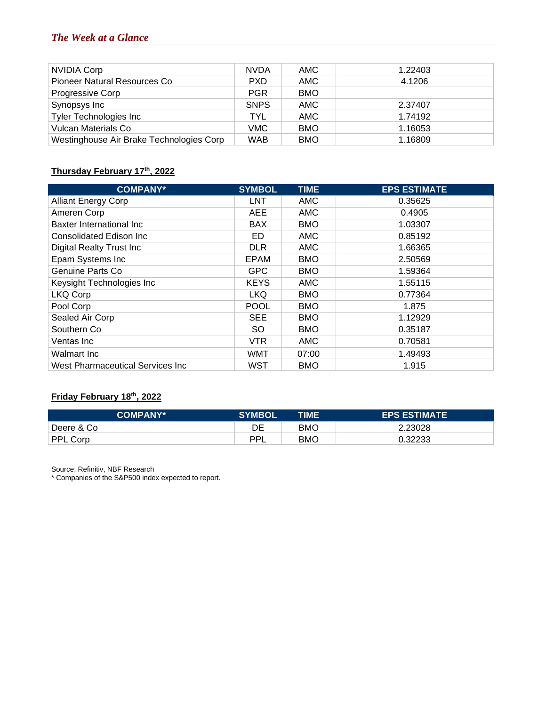| NVIDIA Corp                              | <b>NVDA</b> | AMC.       | 1.22403 |
|------------------------------------------|-------------|------------|---------|
| Pioneer Natural Resources Co             | <b>PXD</b>  | AMC.       | 4.1206  |
| Progressive Corp                         | <b>PGR</b>  | <b>BMO</b> |         |
| Synopsys Inc                             | <b>SNPS</b> | AMC        | 2.37407 |
| <b>Tyler Technologies Inc</b>            | <b>TYL</b>  | AMC        | 1.74192 |
| <b>Vulcan Materials Co</b>               | <b>VMC</b>  | <b>BMO</b> | 1.16053 |
| Westinghouse Air Brake Technologies Corp | <b>WAB</b>  | <b>BMO</b> | 1.16809 |

## **Thursday February 17th, 2022**

| <b>COMPANY*</b>                  | <b>SYMBOL</b> | <b>TIME</b> | <b>EPS ESTIMATE</b> |
|----------------------------------|---------------|-------------|---------------------|
| <b>Alliant Energy Corp</b>       | LNT           | <b>AMC</b>  | 0.35625             |
| Ameren Corp                      | <b>AEE</b>    | AMC         | 0.4905              |
| Baxter International Inc         | <b>BAX</b>    | <b>BMO</b>  | 1.03307             |
| Consolidated Edison Inc          | ED            | <b>AMC</b>  | 0.85192             |
| Digital Realty Trust Inc         | <b>DLR</b>    | AMC         | 1.66365             |
| Epam Systems Inc                 | <b>EPAM</b>   | <b>BMO</b>  | 2.50569             |
| Genuine Parts Co                 | <b>GPC</b>    | <b>BMO</b>  | 1.59364             |
| Keysight Technologies Inc        | <b>KEYS</b>   | <b>AMC</b>  | 1.55115             |
| LKQ Corp                         | <b>LKQ</b>    | <b>BMO</b>  | 0.77364             |
| Pool Corp                        | <b>POOL</b>   | <b>BMO</b>  | 1.875               |
| Sealed Air Corp                  | <b>SEE</b>    | <b>BMO</b>  | 1.12929             |
| Southern Co                      | SO.           | <b>BMO</b>  | 0.35187             |
| Ventas Inc                       | VTR           | <b>AMC</b>  | 0.70581             |
| Walmart Inc                      | <b>WMT</b>    | 07:00       | 1.49493             |
| West Pharmaceutical Services Inc | WST           | BMO         | 1.915               |

## **Friday February 18th, 2022**

| <b>COMPANY*</b> | <b>SYMBOL</b> | TIME       | <b>EPS ESTIMATE</b> |
|-----------------|---------------|------------|---------------------|
| Deere & Co      | DE            | <b>BMC</b> | 2.23028             |
| <b>PPL Corp</b> | וסם           | <b>BMC</b> | 0.32233             |

Source: Refinitiv, NBF Research

\* Companies of the S&P500 index expected to report.